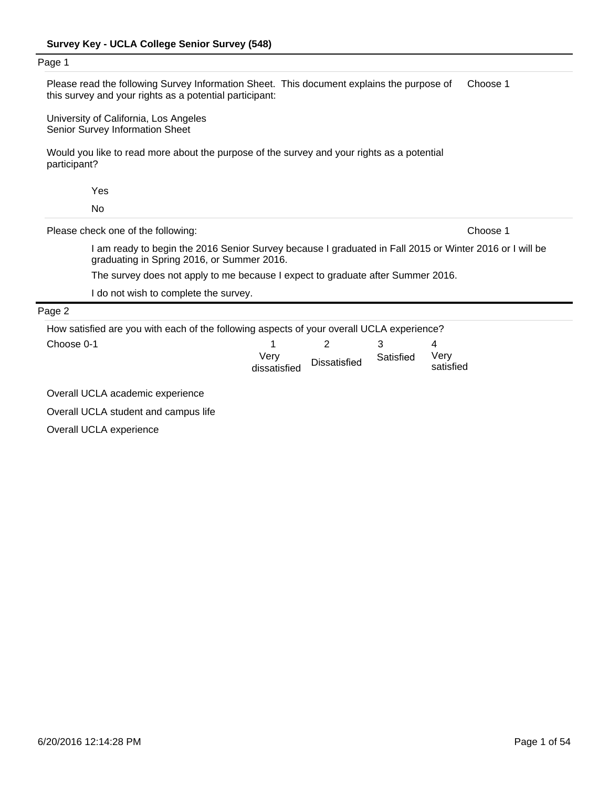l.

| Page 1                                                                                                                                               |                                                                                                                                                       |                     |           |                   |          |
|------------------------------------------------------------------------------------------------------------------------------------------------------|-------------------------------------------------------------------------------------------------------------------------------------------------------|---------------------|-----------|-------------------|----------|
| Please read the following Survey Information Sheet. This document explains the purpose of<br>this survey and your rights as a potential participant: |                                                                                                                                                       |                     |           |                   | Choose 1 |
| University of California, Los Angeles<br>Senior Survey Information Sheet                                                                             |                                                                                                                                                       |                     |           |                   |          |
| Would you like to read more about the purpose of the survey and your rights as a potential<br>participant?                                           |                                                                                                                                                       |                     |           |                   |          |
| Yes                                                                                                                                                  |                                                                                                                                                       |                     |           |                   |          |
| <b>No</b>                                                                                                                                            |                                                                                                                                                       |                     |           |                   |          |
| Please check one of the following:                                                                                                                   |                                                                                                                                                       |                     |           |                   | Choose 1 |
|                                                                                                                                                      | I am ready to begin the 2016 Senior Survey because I graduated in Fall 2015 or Winter 2016 or I will be<br>graduating in Spring 2016, or Summer 2016. |                     |           |                   |          |
|                                                                                                                                                      | The survey does not apply to me because I expect to graduate after Summer 2016.                                                                       |                     |           |                   |          |
| I do not wish to complete the survey.                                                                                                                |                                                                                                                                                       |                     |           |                   |          |
| Page 2                                                                                                                                               |                                                                                                                                                       |                     |           |                   |          |
| How satisfied are you with each of the following aspects of your overall UCLA experience?                                                            |                                                                                                                                                       |                     |           |                   |          |
| Choose 0-1                                                                                                                                           |                                                                                                                                                       | 2                   | 3         | 4                 |          |
|                                                                                                                                                      | Very<br>dissatisfied                                                                                                                                  | <b>Dissatisfied</b> | Satisfied | Very<br>satisfied |          |

Overall UCLA academic experience

Overall UCLA student and campus life

Overall UCLA experience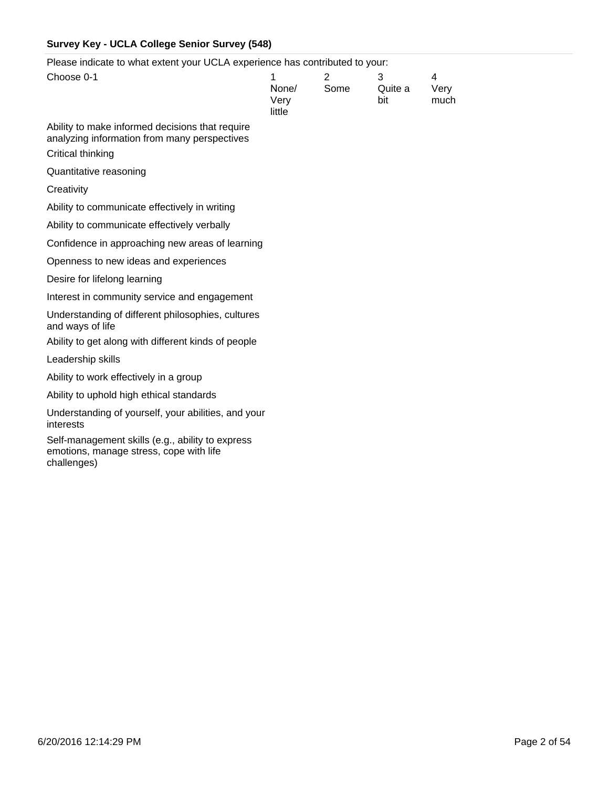Please indicate to what extent your UCLA experience has contributed to your:

| <b>PORT IN THE REAL PROPERTY OF A SUPPORT OF THE CONTINUOUS TO YOUR</b>                         |                              |           |                     |                   |
|-------------------------------------------------------------------------------------------------|------------------------------|-----------|---------------------|-------------------|
| Choose 0-1                                                                                      | 1<br>None/<br>Very<br>little | 2<br>Some | 3<br>Quite a<br>bit | 4<br>Very<br>much |
| Ability to make informed decisions that require<br>analyzing information from many perspectives |                              |           |                     |                   |
| Critical thinking                                                                               |                              |           |                     |                   |
| Quantitative reasoning                                                                          |                              |           |                     |                   |
| Creativity                                                                                      |                              |           |                     |                   |
| Ability to communicate effectively in writing                                                   |                              |           |                     |                   |
| Ability to communicate effectively verbally                                                     |                              |           |                     |                   |
| Confidence in approaching new areas of learning                                                 |                              |           |                     |                   |
| Openness to new ideas and experiences                                                           |                              |           |                     |                   |
| Desire for lifelong learning                                                                    |                              |           |                     |                   |
| Interest in community service and engagement                                                    |                              |           |                     |                   |
| Understanding of different philosophies, cultures<br>and ways of life                           |                              |           |                     |                   |
| Ability to get along with different kinds of people                                             |                              |           |                     |                   |
| Leadership skills                                                                               |                              |           |                     |                   |
| Ability to work effectively in a group                                                          |                              |           |                     |                   |
| Ability to uphold high ethical standards                                                        |                              |           |                     |                   |
| Understanding of yourself, your abilities, and your<br>interests                                |                              |           |                     |                   |
| Self-management skills (e.g., ability to express<br>emotions, manage stress, cope with life     |                              |           |                     |                   |

challenges)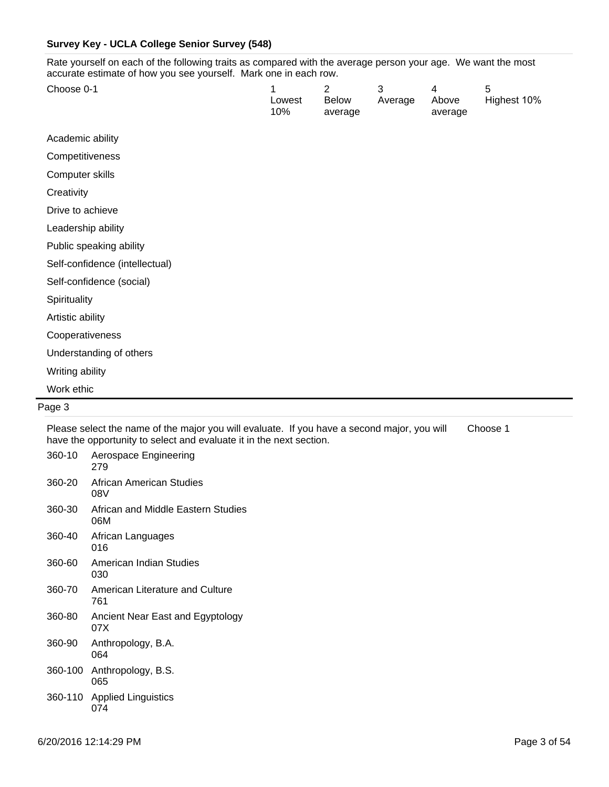Rate yourself on each of the following traits as compared with the average person your age. We want the most accurate estimate of how you see yourself. Mark one in each row.

| Choose 0-1                     | 1<br>Lowest<br>10% | 2<br>Below<br>average | 3<br>Average | 4<br>Above<br>average | 5<br>Highest 10% |
|--------------------------------|--------------------|-----------------------|--------------|-----------------------|------------------|
| Academic ability               |                    |                       |              |                       |                  |
| Competitiveness                |                    |                       |              |                       |                  |
| Computer skills                |                    |                       |              |                       |                  |
| Creativity                     |                    |                       |              |                       |                  |
| Drive to achieve               |                    |                       |              |                       |                  |
| Leadership ability             |                    |                       |              |                       |                  |
| Public speaking ability        |                    |                       |              |                       |                  |
| Self-confidence (intellectual) |                    |                       |              |                       |                  |
| Self-confidence (social)       |                    |                       |              |                       |                  |
| Spirituality                   |                    |                       |              |                       |                  |
| Artistic ability               |                    |                       |              |                       |                  |
| Cooperativeness                |                    |                       |              |                       |                  |
| Understanding of others        |                    |                       |              |                       |                  |
| Writing ability                |                    |                       |              |                       |                  |
| Work ethic                     |                    |                       |              |                       |                  |
| Page 3                         |                    |                       |              |                       |                  |

Please select the name of the major you will evaluate. If you have a second major, you will have the opportunity to select and evaluate it in the next section. Choose 1

| 360-10  | Aerospace Engineering<br>279              |
|---------|-------------------------------------------|
| 360-20  | African American Studies<br>08V           |
| 360-30  | African and Middle Eastern Studies<br>06M |
| 360-40  | African Languages<br>016                  |
| 360-60  | American Indian Studies<br>030            |
| 360-70  | American Literature and Culture<br>761    |
| 360-80  | Ancient Near East and Egyptology<br>07X   |
| 360-90  | Anthropology, B.A.<br>064                 |
| 360-100 | Anthropology, B.S.<br>065                 |
|         | 360-110 Applied Linguistics<br>074        |
|         |                                           |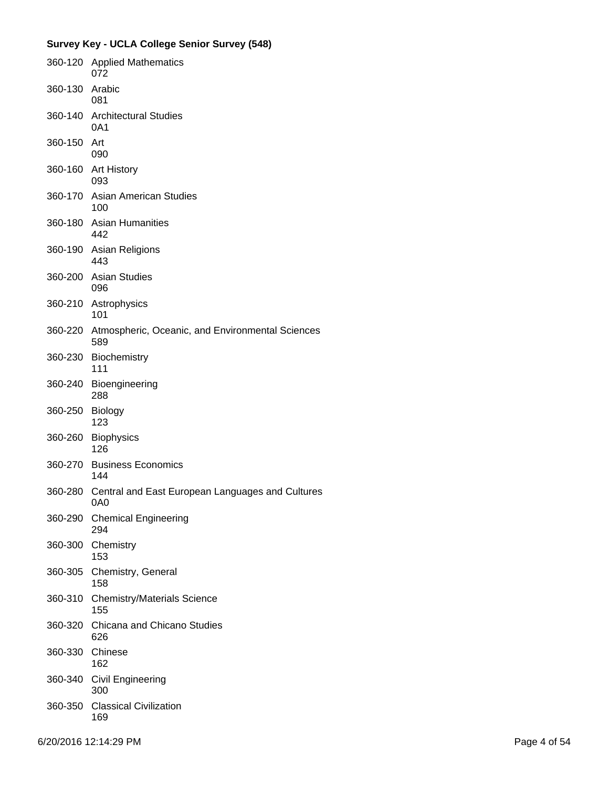|         | 360-120 Applied Mathematics<br>072                              |
|---------|-----------------------------------------------------------------|
| 360-130 | Arabic<br>081                                                   |
|         | 360-140 Architectural Studies<br>0A1                            |
| 360-150 | Art<br>090                                                      |
| 360-160 | <b>Art History</b><br>093                                       |
| 360-170 | Asian American Studies<br>100                                   |
| 360-180 | <b>Asian Humanities</b><br>442                                  |
| 360-190 | Asian Religions<br>443                                          |
| 360-200 | <b>Asian Studies</b><br>096                                     |
|         | 360-210 Astrophysics<br>101                                     |
| 360-220 | Atmospheric, Oceanic, and Environmental Sciences<br>589         |
| 360-230 | <b>Biochemistry</b><br>111                                      |
| 360-240 | Bioengineering<br>288                                           |
| 360-250 | Biology<br>123                                                  |
| 360-260 | <b>Biophysics</b><br>126                                        |
| 360-270 | <b>Business Economics</b><br>144                                |
|         | 360-280 Central and East European Languages and Cultures<br>0A0 |
| 360-290 | <b>Chemical Engineering</b><br>294                              |
| 360-300 | Chemistry<br>153                                                |
| 360-305 | Chemistry, General<br>158                                       |
| 360-310 | <b>Chemistry/Materials Science</b><br>155                       |
| 360-320 | Chicana and Chicano Studies<br>626                              |
| 360-330 | Chinese<br>162                                                  |
| 360-340 | <b>Civil Engineering</b><br>300                                 |
| 360-350 | <b>Classical Civilization</b><br>169                            |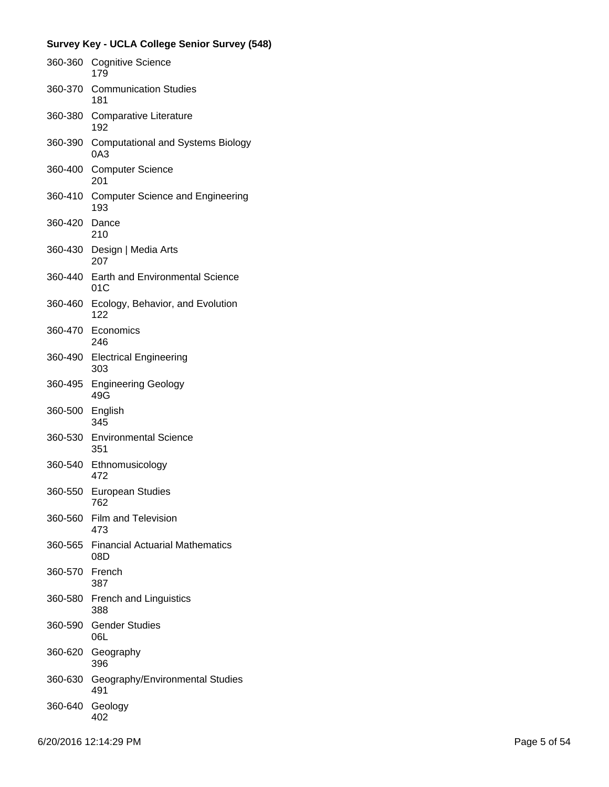| 360-360 | <b>Cognitive Science</b><br>179                 |
|---------|-------------------------------------------------|
| 360-370 | <b>Communication Studies</b><br>181             |
| 360-380 | Comparative Literature<br>192                   |
| 360-390 | <b>Computational and Systems Biology</b><br>0A3 |
| 360-400 | <b>Computer Science</b><br>201                  |
| 360-410 | <b>Computer Science and Engineering</b><br>193  |
| 360-420 | Dance<br>210                                    |
| 360-430 | Design   Media Arts<br>207                      |
| 360-440 | <b>Earth and Environmental Science</b><br>01C   |
| 360-460 | Ecology, Behavior, and Evolution<br>122         |
|         | 360-470 Economics<br>246                        |
| 360-490 | <b>Electrical Engineering</b><br>303            |
| 360-495 | <b>Engineering Geology</b><br>49G               |
| 360-500 | English<br>345                                  |
|         | 360-530 Environmental Science<br>351            |
| 360-540 | Ethnomusicology<br>472                          |
| 360-550 | <b>European Studies</b><br>762                  |
| 360-560 | <b>Film and Television</b><br>473               |
| 360-565 | <b>Financial Actuarial Mathematics</b><br>08D   |
| 360-570 | French<br>387                                   |
|         | 360-580 French and Linguistics<br>388           |
| 360-590 | <b>Gender Studies</b><br>06L                    |
| 360-620 | Geography<br>396                                |
| 360-630 | Geography/Environmental Studies<br>491          |
| 360-640 | Geology<br>402                                  |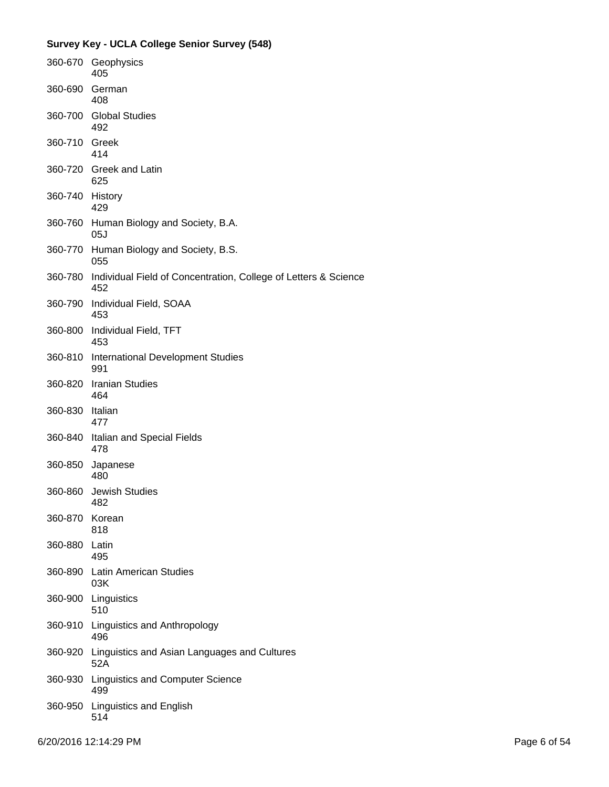| 360-670       | Geophysics<br>405                                                      |
|---------------|------------------------------------------------------------------------|
| 360-690       | German<br>408                                                          |
| 360-700       | <b>Global Studies</b><br>492                                           |
| 360-710 Greek | 414                                                                    |
|               | 360-720 Greek and Latin<br>625                                         |
| 360-740       | History<br>429                                                         |
| 360-760       | Human Biology and Society, B.A.<br>05J                                 |
| 360-770       | Human Biology and Society, B.S.<br>055                                 |
| 360-780       | Individual Field of Concentration, College of Letters & Science<br>452 |
| 360-790       | Individual Field, SOAA<br>453                                          |
| 360-800       | Individual Field, TFT<br>453                                           |
| 360-810       | <b>International Development Studies</b><br>991                        |
| 360-820       | <b>Iranian Studies</b><br>464                                          |
| 360-830       | Italian<br>477                                                         |
| 360-840       | Italian and Special Fields<br>478                                      |
| 360-850       | Japanese<br>480                                                        |
| 360-860       | <b>Jewish Studies</b><br>482                                           |
| 360-870       | Korean<br>818                                                          |
| 360-880 Latin | 495                                                                    |
| 360-890       | <b>Latin American Studies</b><br>03K                                   |
| 360-900       | Linguistics<br>510                                                     |
| 360-910       | Linguistics and Anthropology<br>496                                    |
| 360-920       | Linguistics and Asian Languages and Cultures<br>52A                    |
| 360-930       | <b>Linguistics and Computer Science</b><br>499                         |
| 360-950       | Linguistics and English<br>514                                         |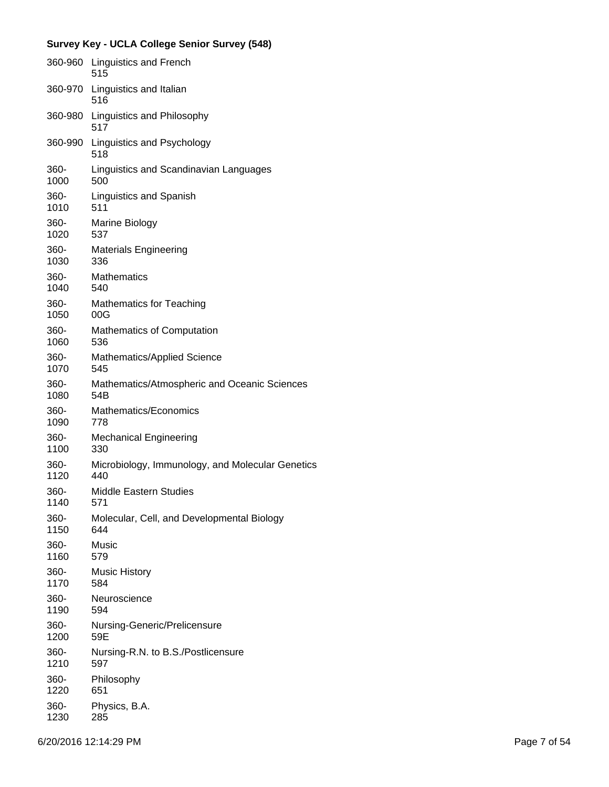|         | 360-960 Linguistics and French<br>515            |
|---------|--------------------------------------------------|
| 360-970 | Linguistics and Italian<br>516                   |
| 360-980 | Linguistics and Philosophy<br>517                |
| 360-990 | Linguistics and Psychology<br>518                |
| 360-    | Linguistics and Scandinavian Languages           |
| 1000    | 500                                              |
| 360-    | Linguistics and Spanish                          |
| 1010    | 511                                              |
| 360-    | Marine Biology                                   |
| 1020    | 537                                              |
| 360-    | <b>Materials Engineering</b>                     |
| 1030    | 336                                              |
| 360-    | <b>Mathematics</b>                               |
| 1040    | 540                                              |
| 360-    | <b>Mathematics for Teaching</b>                  |
| 1050    | 00G                                              |
| 360-    | Mathematics of Computation                       |
| 1060    | 536                                              |
| 360-    | Mathematics/Applied Science                      |
| 1070    | 545                                              |
| 360-    | Mathematics/Atmospheric and Oceanic Sciences     |
| 1080    | 54B                                              |
| 360-    | Mathematics/Economics                            |
| 1090    | 778                                              |
| 360-    | <b>Mechanical Engineering</b>                    |
| 1100    | 330                                              |
| 360-    | Microbiology, Immunology, and Molecular Genetics |
| 1120    | 440                                              |
| 360-    | Middle Eastern Studies                           |
| 1140    | 571                                              |
| 360-    | Molecular, Cell, and Developmental Biology       |
| 1150    | 644                                              |
| 360-    | Music                                            |
| 1160    | 579                                              |
| 360-    | <b>Music History</b>                             |
| 1170    | 584                                              |
| 360-    | Neuroscience                                     |
| 1190    | 594                                              |
| 360-    | Nursing-Generic/Prelicensure                     |
| 1200    | 59E                                              |
| 360-    | Nursing-R.N. to B.S./Postlicensure               |
| 1210    | 597                                              |
| 360-    | Philosophy                                       |
| 1220    | 651                                              |
| 360-    | Physics, B.A.                                    |
| 1230    | 285                                              |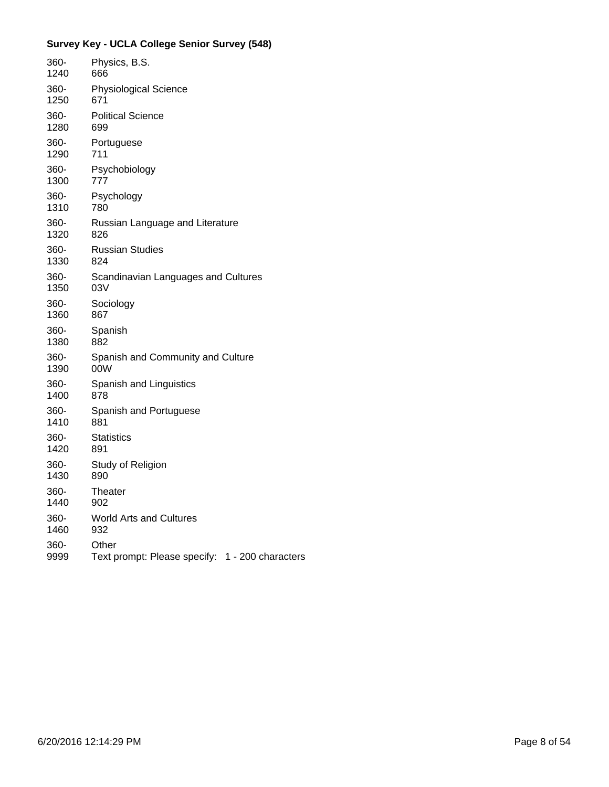| 360- | Physics, B.S.                                   |
|------|-------------------------------------------------|
| 1240 | 666                                             |
| 360- | <b>Physiological Science</b>                    |
| 1250 | 671                                             |
| 360- | <b>Political Science</b>                        |
| 1280 | 699                                             |
| 360- | Portuguese                                      |
| 1290 | 711                                             |
| 360- | Psychobiology                                   |
| 1300 | 777                                             |
| 360- | Psychology                                      |
| 1310 | 780                                             |
| 360- | Russian Language and Literature                 |
| 1320 | 826                                             |
| 360- | <b>Russian Studies</b>                          |
| 1330 | 824                                             |
| 360- | Scandinavian Languages and Cultures             |
| 1350 | 03V                                             |
| 360- | Sociology                                       |
| 1360 | 867                                             |
| 360- | Spanish                                         |
| 1380 | 882                                             |
| 360- | Spanish and Community and Culture               |
| 1390 | 00W                                             |
| 360- | Spanish and Linguistics                         |
| 1400 | 878                                             |
| 360- | Spanish and Portuguese                          |
| 1410 | 881                                             |
| 360- | <b>Statistics</b>                               |
| 1420 | 891                                             |
| 360- | Study of Religion                               |
| 1430 | 890                                             |
| 360- | Theater                                         |
| 1440 | 902                                             |
| 360- | <b>World Arts and Cultures</b>                  |
| 1460 | 932                                             |
| 360- | Other                                           |
| 9999 | Text prompt: Please specify: 1 - 200 characters |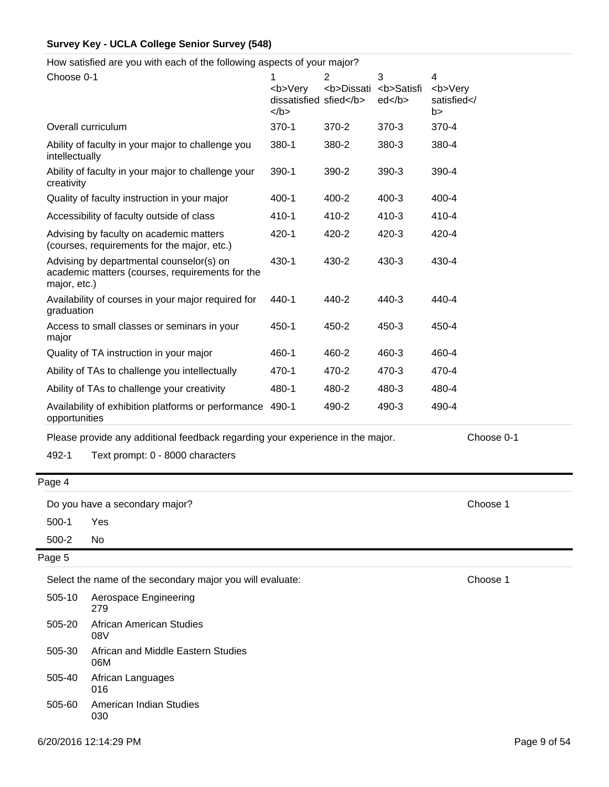How satisfied are you with each of the following aspects of your major?

| 1<br><b>Very<br/><math>&lt;</math>/b&gt;</b> | $\overline{2}$<br><b>Dissati</b>                    | 3<br><b>Satisfi<br/>ed </b> | 4<br><b>Very<br/>satisfied<!--<br-->b&gt;</b> |
|----------------------------------------------|-----------------------------------------------------|-----------------------------|-----------------------------------------------|
| $370 - 1$                                    | $370 - 2$                                           | 370-3                       | 370-4                                         |
| 380-1                                        | 380-2                                               | 380-3                       | 380-4                                         |
| $390-1$                                      | 390-2                                               | 390-3                       | 390-4                                         |
| $400 - 1$                                    | 400-2                                               | $400 - 3$                   | 400-4                                         |
| 410-1                                        | 410-2                                               | 410-3                       | 410-4                                         |
| 420-1                                        | 420-2                                               | 420-3                       | 420-4                                         |
| $430 - 1$                                    | 430-2                                               | 430-3                       | 430-4                                         |
| 440-1                                        | 440-2                                               | 440-3                       | 440-4                                         |
| 450-1                                        | 450-2                                               | 450-3                       | 450-4                                         |
| 460-1                                        | 460-2                                               | 460-3                       | 460-4                                         |
| 470-1                                        | 470-2                                               | 470-3                       | 470-4                                         |
| 480-1                                        | 480-2                                               | 480-3                       | 480-4                                         |
| 490-1                                        | 490-2                                               | 490-3                       | 490-4                                         |
|                                              | Availability of exhibition platforms or performance | dissatisfied sfied          |                                               |

Please provide any additional feedback regarding your experience in the major. Choose 0-1

492-1 Text prompt: 0 - 8000 characters

Page 4

Do you have a secondary major? Choose 1

500-1 Yes

500-2 No

Page 5

Select the name of the secondary major you will evaluate: Choose 1

505-20 African American Studies 08V 505-10 Aerospace Engineering 279 505-30 African and Middle Eastern Studies 06M 505-60 American Indian Studies 030 505-40 African Languages 016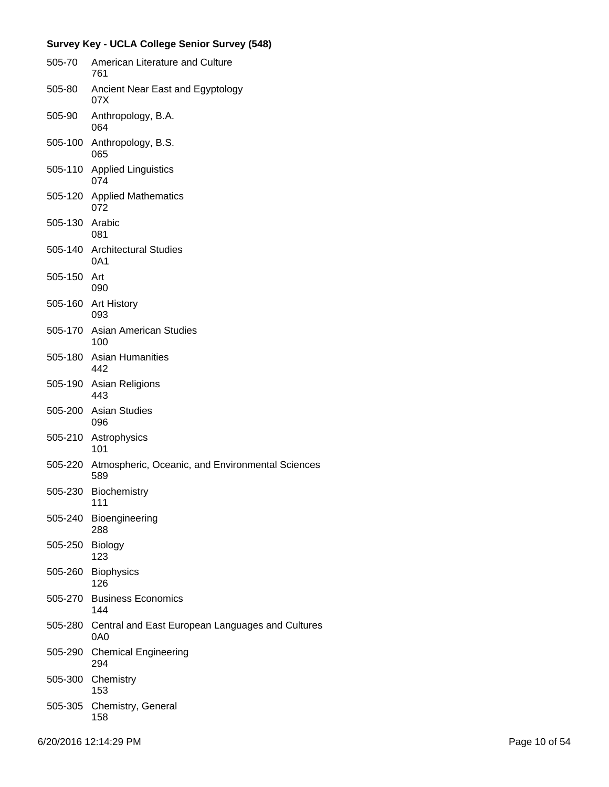|                | Survey Key - UCLA College Senior Survey (548)                   |
|----------------|-----------------------------------------------------------------|
| 505-70         | American Literature and Culture<br>761                          |
| 505-80         | Ancient Near East and Egyptology<br>07X                         |
| 505-90         | Anthropology, B.A.<br>064                                       |
|                | 505-100 Anthropology, B.S.<br>065                               |
| 505-110        | <b>Applied Linguistics</b><br>074                               |
|                | 505-120 Applied Mathematics<br>072                              |
| 505-130 Arabic | 081                                                             |
|                | 505-140 Architectural Studies<br>0A1                            |
| 505-150        | Art<br>090                                                      |
|                | 505-160 Art History<br>093                                      |
|                | 505-170 Asian American Studies<br>100                           |
|                | 505-180 Asian Humanities<br>442                                 |
|                | 505-190 Asian Religions<br>443                                  |
|                | 505-200 Asian Studies<br>096                                    |
|                | 505-210 Astrophysics<br>101                                     |
| 505-220        | Atmospheric, Oceanic, and Environmental Sciences<br>589         |
| 505-230        | Biochemistry<br>111                                             |
| 505-240        | Bioengineering<br>288                                           |
| 505-250        | Biology<br>123                                                  |
| 505-260        | <b>Biophysics</b><br>126                                        |
|                | 505-270 Business Economics<br>144                               |
|                | 505-280 Central and East European Languages and Cultures<br>0A0 |
| 505-290        | <b>Chemical Engineering</b><br>294                              |
| 505-300        | Chemistry<br>153                                                |
| 505-305        | Chemistry, General<br>158                                       |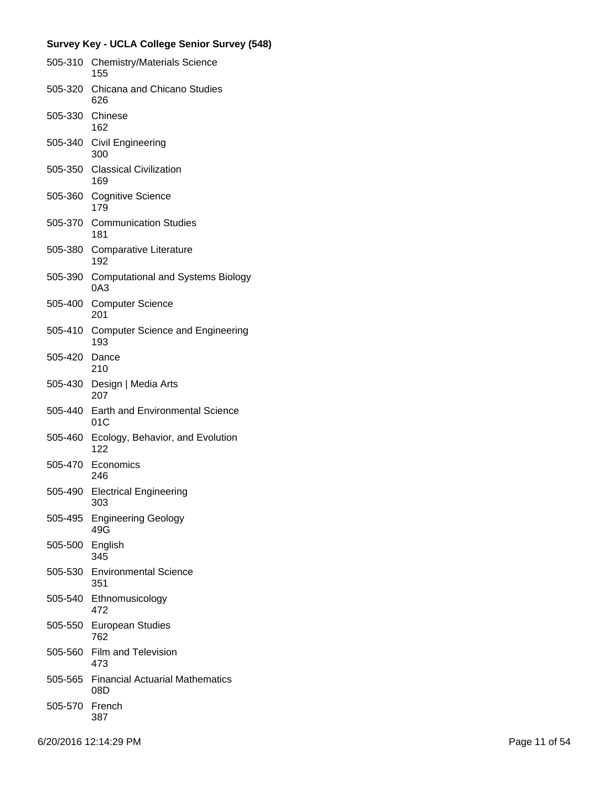| 505-310 | <b>Chemistry/Materials Science</b><br>155       |
|---------|-------------------------------------------------|
| 505-320 | Chicana and Chicano Studies<br>626              |
| 505-330 | Chinese<br>162                                  |
| 505-340 | <b>Civil Engineering</b><br>300                 |
| 505-350 | <b>Classical Civilization</b><br>169            |
| 505-360 | <b>Cognitive Science</b><br>179                 |
| 505-370 | <b>Communication Studies</b><br>181             |
| 505-380 | Comparative Literature<br>192                   |
| 505-390 | <b>Computational and Systems Biology</b><br>0A3 |
| 505-400 | <b>Computer Science</b><br>201                  |
| 505-410 | <b>Computer Science and Engineering</b><br>193  |
| 505-420 | Dance<br>210                                    |
| 505-430 | Design   Media Arts<br>207                      |
| 505-440 | <b>Earth and Environmental Science</b><br>01C   |
| 505-460 | Ecology, Behavior, and Evolution<br>122         |
| 505-470 | Economics<br>246                                |
| 505-490 | <b>Electrical Engineering</b><br>303            |
| 505-495 | <b>Engineering Geology</b><br>49G               |
| 505-500 | English<br>345                                  |
| 505-530 | <b>Environmental Science</b><br>351             |
| 505-540 | Ethnomusicology<br>472                          |
| 505-550 | <b>European Studies</b><br>762                  |
| 505-560 | Film and Television<br>473                      |
| 505-565 | <b>Financial Actuarial Mathematics</b><br>08D   |
| 505-570 | French<br>387                                   |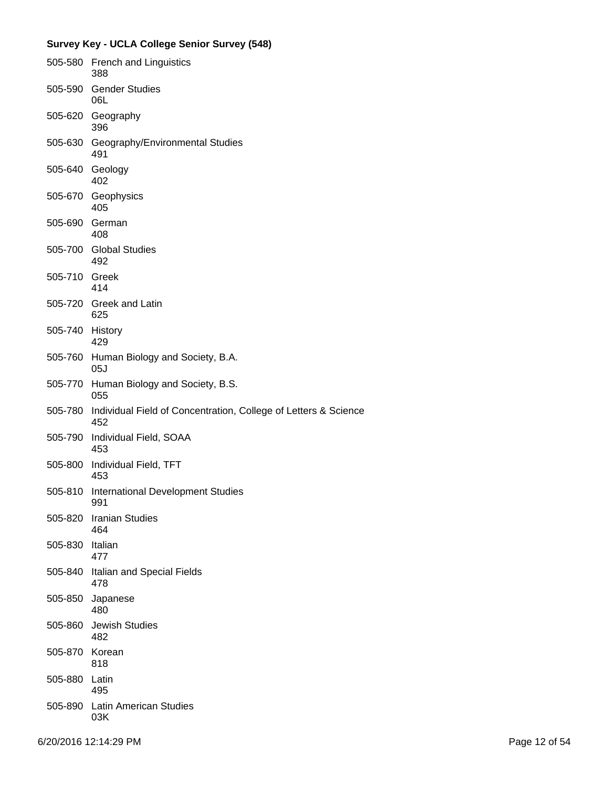|         | Survey Key - UCLA College Senior Survey (548)                          |
|---------|------------------------------------------------------------------------|
| 505-580 | French and Linguistics<br>388                                          |
| 505-590 | <b>Gender Studies</b><br>06L                                           |
| 505-620 | Geography<br>396                                                       |
| 505-630 | Geography/Environmental Studies<br>491                                 |
| 505-640 | Geology<br>402                                                         |
| 505-670 | Geophysics<br>405                                                      |
| 505-690 | German<br>408                                                          |
| 505-700 | <b>Global Studies</b><br>492                                           |
| 505-710 | Greek<br>414                                                           |
|         | 505-720 Greek and Latin<br>625                                         |
| 505-740 | History<br>429                                                         |
| 505-760 | Human Biology and Society, B.A.<br>05J                                 |
| 505-770 | Human Biology and Society, B.S.<br>055                                 |
| 505-780 | Individual Field of Concentration, College of Letters & Science<br>452 |
| 505-790 | Individual Field, SOAA<br>453                                          |
| 505-800 | Individual Field, TFT<br>453                                           |
| 505-810 | International Development Studies<br>991                               |
| 505-820 | <b>Iranian Studies</b><br>464                                          |
| 505-830 | Italian<br>477                                                         |
| 505-840 | Italian and Special Fields<br>478                                      |
| 505-850 | Japanese<br>480                                                        |
| 505-860 | <b>Jewish Studies</b><br>482                                           |
| 505-870 | Korean<br>818                                                          |
| 505-880 | Latin<br>495                                                           |
| 505-890 | <b>Latin American Studies</b><br>03K                                   |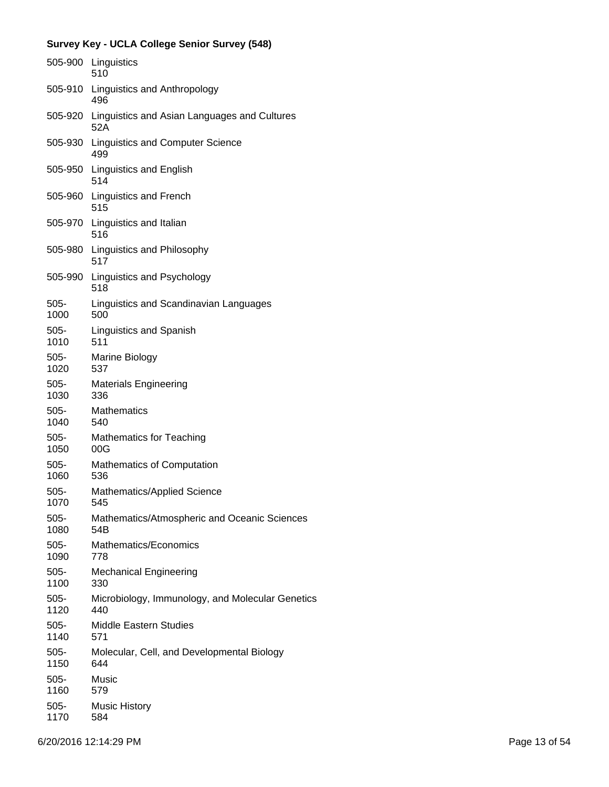|         | 505-900 Linguistics<br>510                                  |
|---------|-------------------------------------------------------------|
| 505-910 | Linguistics and Anthropology<br>496                         |
|         | 505-920 Linguistics and Asian Languages and Cultures<br>52A |
| 505-930 | <b>Linguistics and Computer Science</b><br>499              |
| 505-950 | Linguistics and English<br>514                              |
| 505-960 | <b>Linguistics and French</b><br>515                        |
|         | 505-970 Linguistics and Italian<br>516                      |
| 505-980 | Linguistics and Philosophy<br>517                           |
| 505-990 | Linguistics and Psychology<br>518                           |
| 505-    | Linguistics and Scandinavian Languages                      |
| 1000    | 500                                                         |
| 505-    | <b>Linguistics and Spanish</b>                              |
| 1010    | 511                                                         |
| 505-    | Marine Biology                                              |
| 1020    | 537                                                         |
| 505-    | <b>Materials Engineering</b>                                |
| 1030    | 336                                                         |
| 505-    | <b>Mathematics</b>                                          |
| 1040    | 540                                                         |
| 505-    | <b>Mathematics for Teaching</b>                             |
| 1050    | 00G                                                         |
| $505 -$ | <b>Mathematics of Computation</b>                           |
| 1060    | 536                                                         |
| 505-    | Mathematics/Applied Science                                 |
| 1070    | 545                                                         |
| $505 -$ | Mathematics/Atmospheric and Oceanic Sciences                |
| 1080    | 54B                                                         |
| 505-    | Mathematics/Economics                                       |
| 1090    | 778                                                         |
| 505-    | <b>Mechanical Engineering</b>                               |
| 1100    | 330                                                         |
| 505-    | Microbiology, Immunology, and Molecular Genetics            |
| 1120    | 440                                                         |
| $505 -$ | Middle Eastern Studies                                      |
| 1140    | 571                                                         |
| 505-    | Molecular, Cell, and Developmental Biology                  |
| 1150    | 644                                                         |
| 505-    | Music                                                       |
| 1160    | 579                                                         |
| 505-    | <b>Music History</b>                                        |
| 1170    | 584                                                         |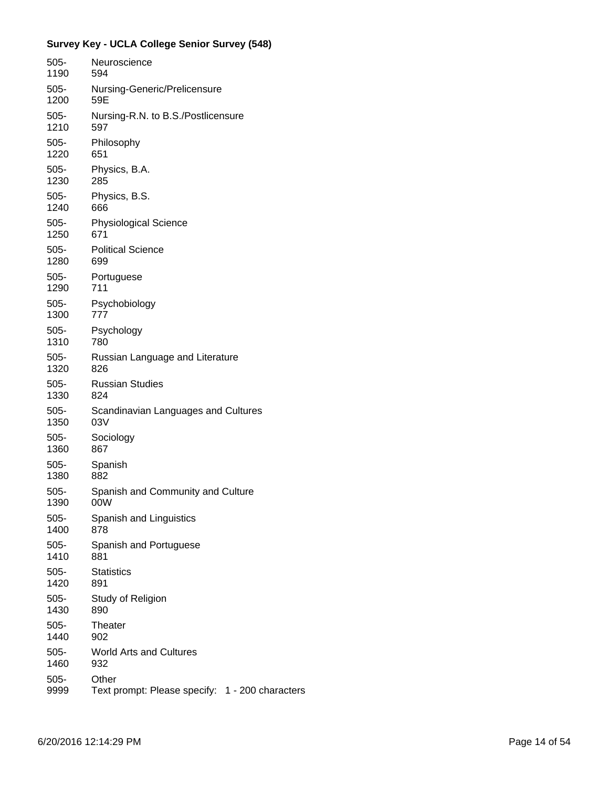| 505-    | Neuroscience                                    |
|---------|-------------------------------------------------|
| 1190    | 594                                             |
| $505 -$ | Nursing-Generic/Prelicensure                    |
| 1200    | 59E                                             |
| $505 -$ | Nursing-R.N. to B.S./Postlicensure              |
| 1210    | 597                                             |
| 505-    | Philosophy                                      |
| 1220    | 651                                             |
| $505 -$ | Physics, B.A.                                   |
| 1230    | 285                                             |
| 505-    | Physics, B.S.                                   |
| 1240    | 666                                             |
| 505-    | <b>Physiological Science</b>                    |
| 1250    | 671                                             |
| 505-    | <b>Political Science</b>                        |
| 1280    | 699                                             |
| $505 -$ | Portuguese                                      |
| 1290    | 711                                             |
| $505 -$ | Psychobiology                                   |
| 1300    | 777                                             |
| $505 -$ | Psychology                                      |
| 1310    | 780                                             |
| 505-    | Russian Language and Literature                 |
| 1320    | 826                                             |
| 505-    | <b>Russian Studies</b>                          |
| 1330    | 824                                             |
| 505-    | Scandinavian Languages and Cultures             |
| 1350    | 03V                                             |
| $505 -$ | Sociology                                       |
| 1360    | 867                                             |
| $505 -$ | Spanish                                         |
| 1380    | 882                                             |
| $505 -$ | Spanish and Community and Culture               |
| 1390    | 00W                                             |
| $505 -$ | Spanish and Linguistics                         |
| 1400    | 878                                             |
| $505 -$ | Spanish and Portuguese                          |
| 1410    | 881                                             |
| $505 -$ | <b>Statistics</b>                               |
| 1420    | 891                                             |
| $505 -$ | Study of Religion                               |
| 1430    | 890                                             |
| $505 -$ | Theater                                         |
| 1440    | 902                                             |
| $505 -$ | <b>World Arts and Cultures</b>                  |
| 1460    | 932                                             |
| $505 -$ | Other                                           |
| 9999    | Text prompt: Please specify: 1 - 200 characters |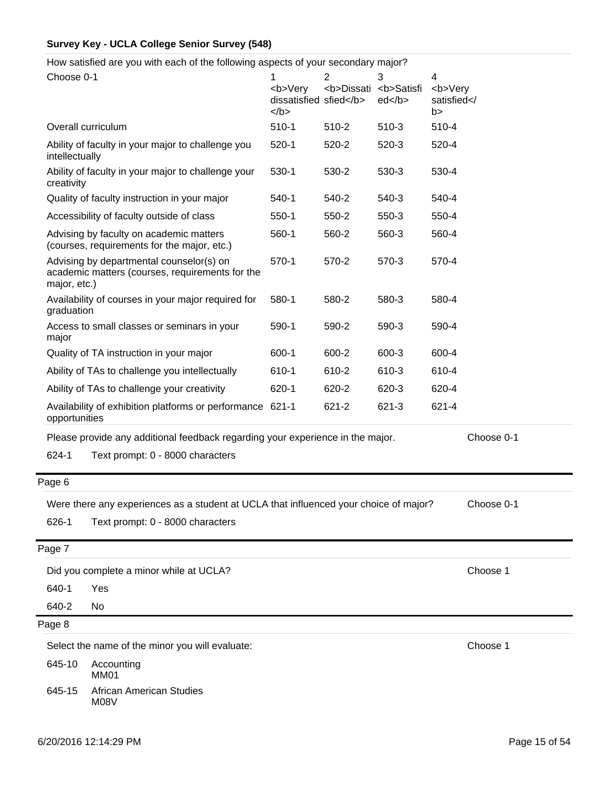How satisfied are you with each of the following aspects of your secondary major?

|                | with babit of the following apposite or your booomaary major.                               |                                               |                                    |                                                                           |                                               |            |
|----------------|---------------------------------------------------------------------------------------------|-----------------------------------------------|------------------------------------|---------------------------------------------------------------------------|-----------------------------------------------|------------|
| Choose 0-1     |                                                                                             | <b>Very<br/>dissatisfied sfied</b><br>$<$ /b> | 2<br><b>Dissati <b>Satisfi</b></b> | 3<br>ed <td>4<br/><b>Very<br/>satisfied<!--<br-->b&gt;</b></td> <td></td> | 4<br><b>Very<br/>satisfied<!--<br-->b&gt;</b> |            |
|                | Overall curriculum                                                                          | $510-1$                                       | 510-2                              | $510-3$                                                                   | 510-4                                         |            |
| intellectually | Ability of faculty in your major to challenge you                                           | $520-1$                                       | 520-2                              | 520-3                                                                     | 520-4                                         |            |
| creativity     | Ability of faculty in your major to challenge your                                          | 530-1                                         | 530-2                              | 530-3                                                                     | 530-4                                         |            |
|                | Quality of faculty instruction in your major                                                | $540-1$                                       | 540-2                              | 540-3                                                                     | 540-4                                         |            |
|                | Accessibility of faculty outside of class                                                   | $550-1$                                       | 550-2                              | 550-3                                                                     | 550-4                                         |            |
|                | Advising by faculty on academic matters<br>(courses, requirements for the major, etc.)      | 560-1                                         | 560-2                              | 560-3                                                                     | 560-4                                         |            |
| major, etc.)   | Advising by departmental counselor(s) on<br>academic matters (courses, requirements for the | $570-1$                                       | 570-2                              | 570-3                                                                     | 570-4                                         |            |
| graduation     | Availability of courses in your major required for                                          | 580-1                                         | 580-2                              | 580-3                                                                     | 580-4                                         |            |
| major          | Access to small classes or seminars in your                                                 | 590-1                                         | 590-2                              | 590-3                                                                     | 590-4                                         |            |
|                | Quality of TA instruction in your major                                                     | 600-1                                         | 600-2                              | 600-3                                                                     | 600-4                                         |            |
|                | Ability of TAs to challenge you intellectually                                              | 610-1                                         | 610-2                              | 610-3                                                                     | 610-4                                         |            |
|                | Ability of TAs to challenge your creativity                                                 | 620-1                                         | 620-2                              | 620-3                                                                     | 620-4                                         |            |
| opportunities  | Availability of exhibition platforms or performance 621-1                                   |                                               | 621-2                              | 621-3                                                                     | 621-4                                         |            |
|                | Please provide any additional feedback regarding your experience in the major.              |                                               |                                    |                                                                           |                                               | Choose 0-1 |
| 624-1          | Text prompt: 0 - 8000 characters                                                            |                                               |                                    |                                                                           |                                               |            |
| Page 6         |                                                                                             |                                               |                                    |                                                                           |                                               |            |
|                | Were there any experiences as a student at UCLA that influenced your choice of major?       |                                               |                                    |                                                                           |                                               | Choose 0-1 |
| 626-1          | Text prompt: 0 - 8000 characters                                                            |                                               |                                    |                                                                           |                                               |            |
| Page 7         |                                                                                             |                                               |                                    |                                                                           |                                               |            |
|                | Did you complete a minor while at UCLA?                                                     |                                               |                                    |                                                                           |                                               | Choose 1   |
| 640-1          | Yes                                                                                         |                                               |                                    |                                                                           |                                               |            |
| 640-2          | No                                                                                          |                                               |                                    |                                                                           |                                               |            |
| Page 8         |                                                                                             |                                               |                                    |                                                                           |                                               |            |
|                | Select the name of the minor you will evaluate:                                             |                                               |                                    |                                                                           |                                               | Choose 1   |
| 645-10         | Accounting<br><b>MM01</b>                                                                   |                                               |                                    |                                                                           |                                               |            |
| 645-15         | African American Studies<br>M08V                                                            |                                               |                                    |                                                                           |                                               |            |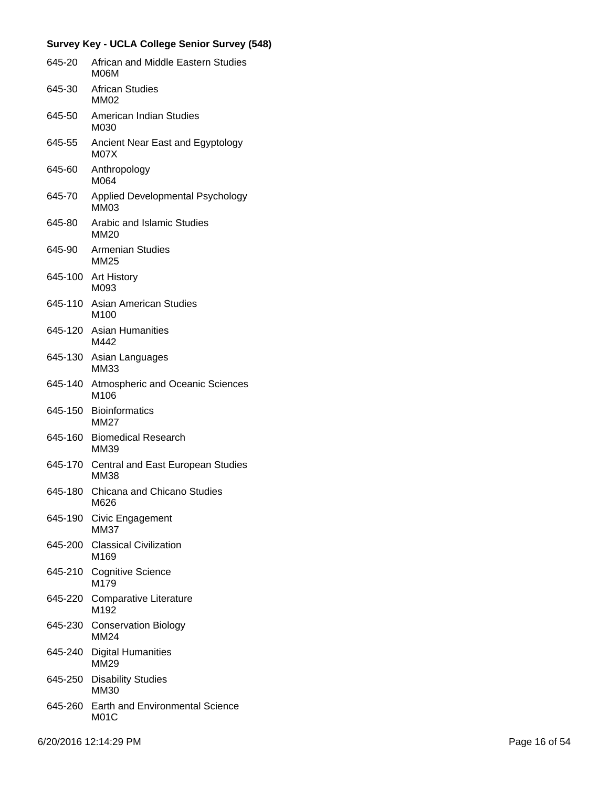| 645-20  | African and Middle Eastern Studies<br><b>M06M</b>     |
|---------|-------------------------------------------------------|
| 645-30  | <b>African Studies</b><br>MM02                        |
| 645-50  | American Indian Studies<br>M030                       |
| 645-55  | Ancient Near East and Egyptology<br>M <sub>0</sub> 7X |
| 645-60  | Anthropology<br>M064                                  |
| 645-70  | Applied Developmental Psychology<br><b>MM03</b>       |
| 645-80  | <b>Arabic and Islamic Studies</b><br>MM20             |
| 645-90  | <b>Armenian Studies</b><br><b>MM25</b>                |
| 645-100 | <b>Art History</b><br>M093                            |
| 645-110 | Asian American Studies<br>M <sub>100</sub>            |
| 645-120 | <b>Asian Humanities</b><br>M442                       |
| 645-130 | Asian Languages<br><b>MM33</b>                        |
| 645-140 | Atmospheric and Oceanic Sciences<br>M106              |
| 645-150 | <b>Bioinformatics</b><br>MM27                         |
| 645-160 | <b>Biomedical Research</b><br>MM39                    |
| 645-170 | Central and East European Studies<br><b>MM38</b>      |
| 645-180 | Chicana and Chicano Studies<br>M626                   |
| 645-190 | Civic Engagement<br><b>MM37</b>                       |
| 645-200 | <b>Classical Civilization</b><br>M <sub>169</sub>     |
| 645-210 | <b>Cognitive Science</b><br>M <sub>179</sub>          |
| 645-220 | <b>Comparative Literature</b><br>M <sub>192</sub>     |
| 645-230 | <b>Conservation Biology</b><br><b>MM24</b>            |
| 645-240 | <b>Digital Humanities</b><br>MM29                     |
| 645-250 | <b>Disability Studies</b><br>MM30                     |
| 645-260 | <b>Earth and Environmental Science</b><br>M01C        |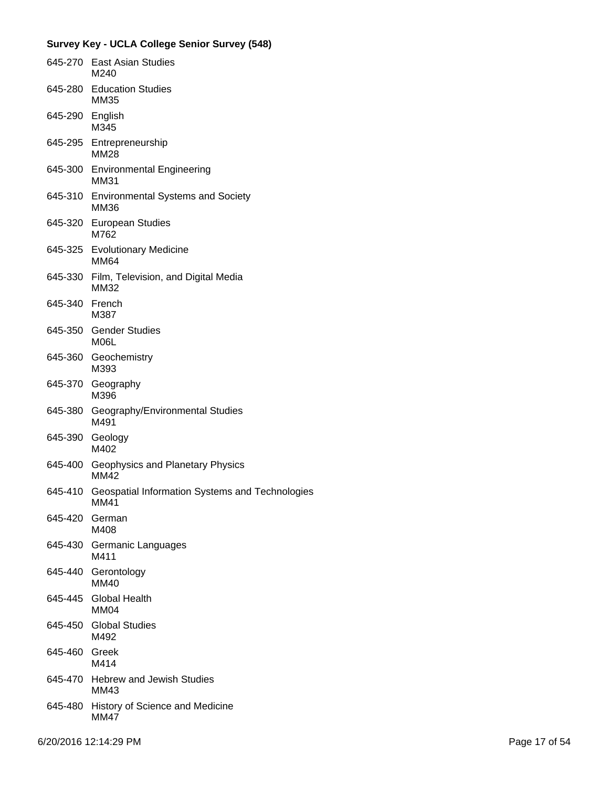|                 | 645-270 East Asian Studies<br>M240                      |
|-----------------|---------------------------------------------------------|
|                 | 645-280 Education Studies<br>MM35                       |
| 645-290 English | M345                                                    |
|                 | 645-295 Entrepreneurship<br><b>MM28</b>                 |
|                 | 645-300 Environmental Engineering<br><b>MM31</b>        |
|                 | 645-310 Environmental Systems and Society<br>MM36       |
|                 | 645-320 European Studies<br>M762                        |
|                 | 645-325 Evolutionary Medicine<br><b>MM64</b>            |
|                 | 645-330 Film, Television, and Digital Media<br>MM32     |
| 645-340 French  | M387                                                    |
|                 | 645-350 Gender Studies<br>M06L                          |
|                 | 645-360 Geochemistry<br>M393                            |
| 645-370         | Geography<br>M396                                       |
| 645-380         | Geography/Environmental Studies<br>M491                 |
| 645-390 Geology | M402                                                    |
| 645-400         | Geophysics and Planetary Physics<br><b>MM42</b>         |
| 645-410         | Geospatial Information Systems and Technologies<br>MM41 |
| 645-420         | German<br>M408                                          |
| 645-430         | Germanic Languages<br>M411                              |
| 645-440         | Gerontology<br>MM40                                     |
|                 | 645-445 Global Health<br><b>MM04</b>                    |
|                 | 645-450 Global Studies<br>M492                          |
| 645-460 Greek   | M414                                                    |
|                 | 645-470 Hebrew and Jewish Studies<br>MM43               |
|                 | 645-480 History of Science and Medicine<br><b>MM47</b>  |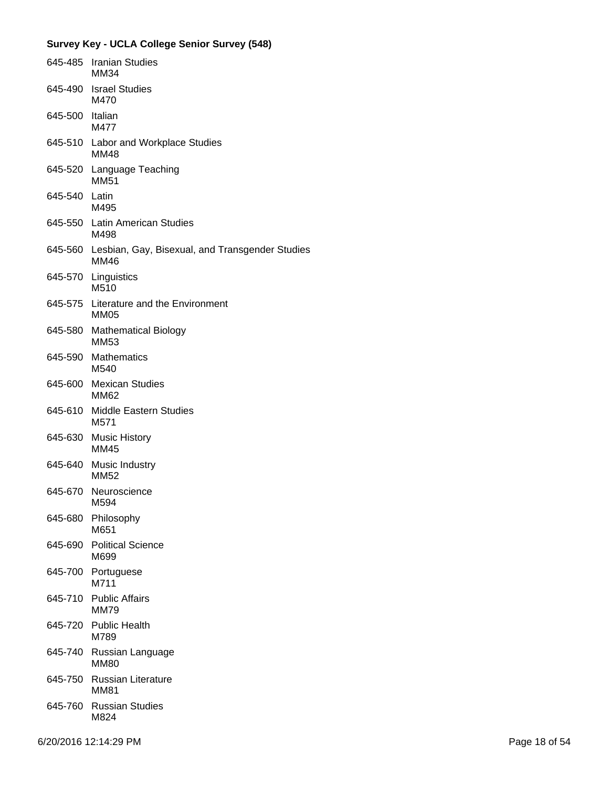|                 | 645-485 Iranian Studies<br>MM34                                        |
|-----------------|------------------------------------------------------------------------|
|                 | 645-490 Israel Studies<br>M470                                         |
| 645-500 Italian | M477                                                                   |
|                 | 645-510 Labor and Workplace Studies<br><b>MM48</b>                     |
|                 | 645-520 Language Teaching<br><b>MM51</b>                               |
| 645-540 Latin   | M495                                                                   |
|                 | 645-550 Latin American Studies<br>M498                                 |
|                 | 645-560 Lesbian, Gay, Bisexual, and Transgender Studies<br><b>MM46</b> |
|                 | 645-570 Linguistics<br>M510                                            |
|                 | 645-575 Literature and the Environment<br><b>MM05</b>                  |
|                 | 645-580 Mathematical Biology<br><b>MM53</b>                            |
| 645-590         | Mathematics<br>M540                                                    |
|                 | 645-600 Mexican Studies<br>MM62                                        |
|                 | 645-610 Middle Eastern Studies<br>M571                                 |
|                 | 645-630 Music History<br><b>MM45</b>                                   |
|                 | 645-640 Music Industry<br>MM52                                         |
|                 | 645-670 Neuroscience<br>M594                                           |
| 645-680         | Philosophy<br>M651                                                     |
| 645-690         | <b>Political Science</b><br>M699                                       |
| 645-700         | Portuguese<br>M711                                                     |
|                 | 645-710 Public Affairs<br><b>MM79</b>                                  |
| 645-720         | <b>Public Health</b><br>M789                                           |
| 645-740         | Russian Language<br><b>MM80</b>                                        |
| 645-750         | <b>Russian Literature</b><br><b>MM81</b>                               |
|                 | 645-760 Russian Studies<br>M824                                        |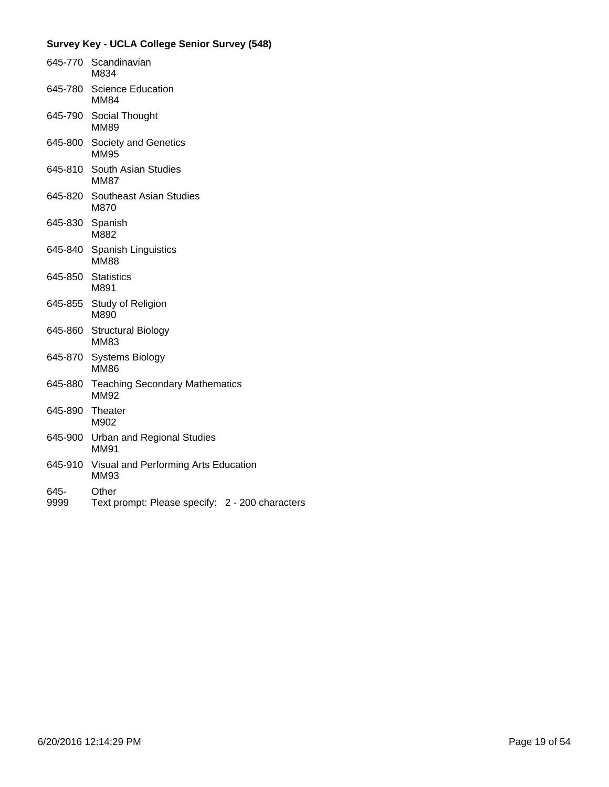|              | 645-770 Scandinavian<br>M834                             |
|--------------|----------------------------------------------------------|
| 645-780      | <b>Science Education</b><br><b>MM84</b>                  |
| 645-790      | Social Thought<br><b>MM89</b>                            |
| 645-800      | Society and Genetics<br><b>MM95</b>                      |
| 645-810      | South Asian Studies<br><b>MM87</b>                       |
| 645-820      | <b>Southeast Asian Studies</b><br>M870                   |
| 645-830      | Spanish<br>M882                                          |
| 645-840      | Spanish Linguistics<br><b>MM88</b>                       |
| 645-850      | <b>Statistics</b><br>M891                                |
| 645-855      | <b>Study of Religion</b><br>M890                         |
| 645-860      | <b>Structural Biology</b><br><b>MM83</b>                 |
| 645-870      | <b>Systems Biology</b><br><b>MM86</b>                    |
| 645-880      | <b>Teaching Secondary Mathematics</b><br>MM92            |
| 645-890      | Theater<br>M902                                          |
| 645-900      | <b>Urban and Regional Studies</b><br><b>MM91</b>         |
| 645-910      | Visual and Performing Arts Education<br><b>MM93</b>      |
| 645-<br>9999 | Other<br>Text prompt: Please specify: 2 - 200 characters |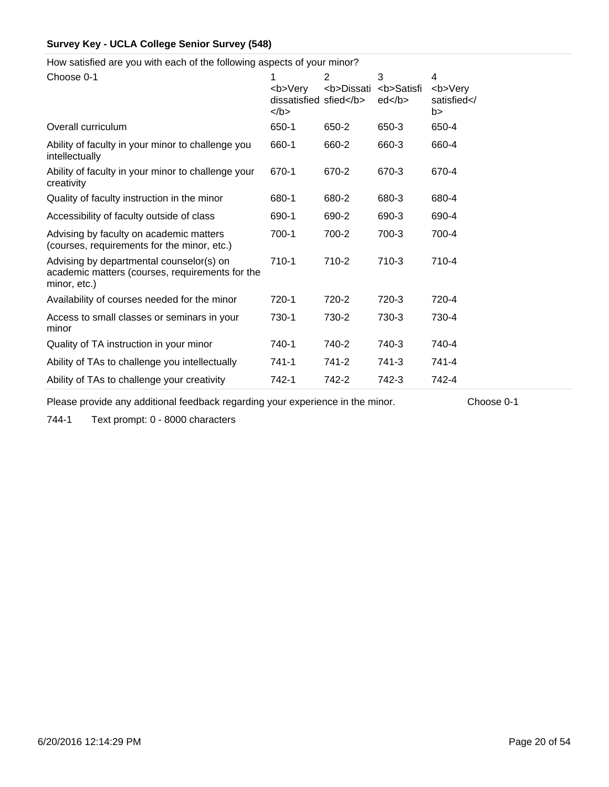How satisfied are you with each of the following aspects of your minor?

| Choose 0-1                                                                                                  | 1<br><b>Very<br/>dissatisfied sfied</b><br>$<$ /b> | $\overline{2}$<br><b>Dissati</b> | 3<br><b>Satisfi<br/>ed </b> | 4<br><b>Very<br/>satisfied<!--<br-->b&gt;</b> |
|-------------------------------------------------------------------------------------------------------------|----------------------------------------------------|----------------------------------|-----------------------------|-----------------------------------------------|
| Overall curriculum                                                                                          | 650-1                                              | 650-2                            | 650-3                       | 650-4                                         |
| Ability of faculty in your minor to challenge you<br>intellectually                                         | 660-1                                              | 660-2                            | 660-3                       | 660-4                                         |
| Ability of faculty in your minor to challenge your<br>creativity                                            | 670-1                                              | 670-2                            | 670-3                       | 670-4                                         |
| Quality of faculty instruction in the minor                                                                 | 680-1                                              | 680-2                            | 680-3                       | 680-4                                         |
| Accessibility of faculty outside of class                                                                   | 690-1                                              | 690-2                            | 690-3                       | 690-4                                         |
| Advising by faculty on academic matters<br>(courses, requirements for the minor, etc.)                      | 700-1                                              | 700-2                            | 700-3                       | 700-4                                         |
| Advising by departmental counselor(s) on<br>academic matters (courses, requirements for the<br>minor, etc.) | 710-1                                              | 710-2                            | 710-3                       | 710-4                                         |
| Availability of courses needed for the minor                                                                | 720-1                                              | 720-2                            | 720-3                       | 720-4                                         |
| Access to small classes or seminars in your<br>minor                                                        | 730-1                                              | 730-2                            | 730-3                       | 730-4                                         |
| Quality of TA instruction in your minor                                                                     | 740-1                                              | 740-2                            | 740-3                       | 740-4                                         |
| Ability of TAs to challenge you intellectually                                                              | 741-1                                              | 741-2                            | 741-3                       | 741-4                                         |
| Ability of TAs to challenge your creativity                                                                 | 742-1                                              | 742-2                            | 742-3                       | 742-4                                         |

Please provide any additional feedback regarding your experience in the minor. Choose 0-1

744-1 Text prompt: 0 - 8000 characters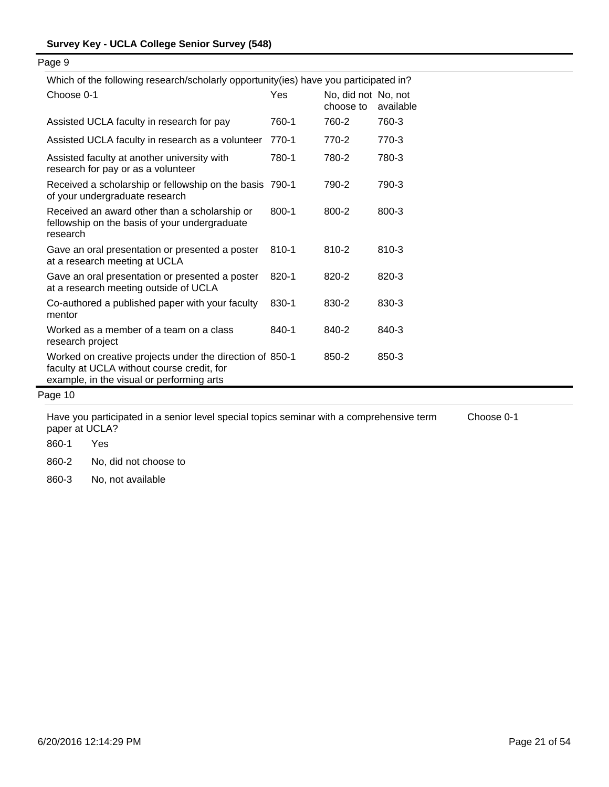| Which of the following research/scholarly opportunity(ies) have you participated in?                                                                |           |                                  |           |  |  |  |
|-----------------------------------------------------------------------------------------------------------------------------------------------------|-----------|----------------------------------|-----------|--|--|--|
| Choose 0-1                                                                                                                                          | Yes       | No, did not No, not<br>choose to | available |  |  |  |
| Assisted UCLA faculty in research for pay                                                                                                           | 760-1     | 760-2                            | 760-3     |  |  |  |
| Assisted UCLA faculty in research as a volunteer                                                                                                    | 770-1     | 770-2                            | 770-3     |  |  |  |
| Assisted faculty at another university with<br>research for pay or as a volunteer                                                                   | 780-1     | 780-2                            | 780-3     |  |  |  |
| Received a scholarship or fellowship on the basis 790-1<br>of your undergraduate research                                                           |           | 790-2                            | 790-3     |  |  |  |
| Received an award other than a scholarship or<br>fellowship on the basis of your undergraduate<br>research                                          | $800 - 1$ | 800-2                            | 800-3     |  |  |  |
| Gave an oral presentation or presented a poster<br>at a research meeting at UCLA                                                                    | 810-1     | 810-2                            | 810-3     |  |  |  |
| Gave an oral presentation or presented a poster<br>at a research meeting outside of UCLA                                                            | 820-1     | 820-2                            | 820-3     |  |  |  |
| Co-authored a published paper with your faculty<br>mentor                                                                                           | 830-1     | 830-2                            | 830-3     |  |  |  |
| Worked as a member of a team on a class<br>research project                                                                                         | 840-1     | 840-2                            | 840-3     |  |  |  |
| Worked on creative projects under the direction of 850-1<br>faculty at UCLA without course credit, for<br>example, in the visual or performing arts |           | 850-2                            | 850-3     |  |  |  |
| Page 10                                                                                                                                             |           |                                  |           |  |  |  |

Have you participated in a senior level special topics seminar with a comprehensive term paper at UCLA?

860-1 Yes

860-2 No, did not choose to

860-3 No, not available

Choose 0-1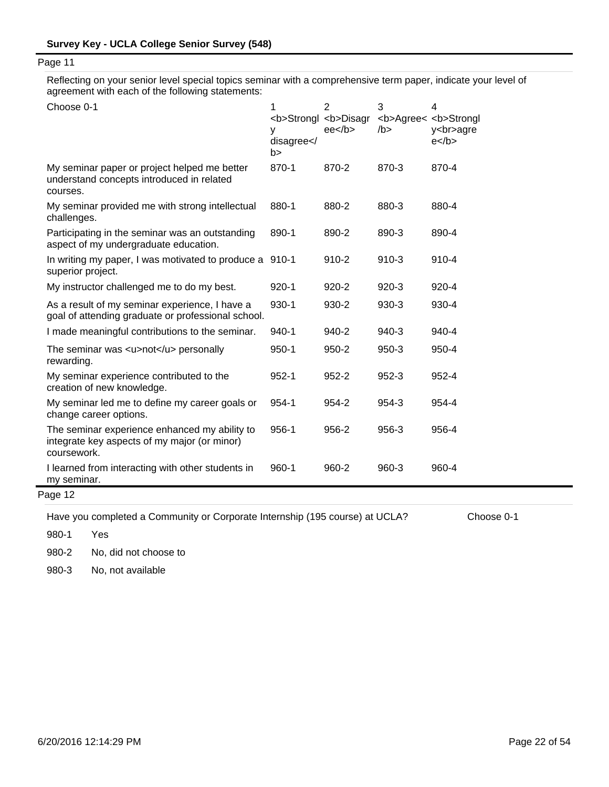Reflecting on your senior level special topics seminar with a comprehensive term paper, indicate your level of agreement with each of the following statements:

| Choose 0-1                                                                                                   | 1<br><b>Strongl <b>Disagr<br/>у<br/>disagree<!--<br-->b&gt;</b></b> | $\overline{2}$<br>$ee$ /b> | 3<br><b>Agree&lt; <b>Strongl<br/><math>/b</math>&gt;</b></b> | $\overline{\mathbf{4}}$<br>y<br>agre<br>$e$ |
|--------------------------------------------------------------------------------------------------------------|---------------------------------------------------------------------|----------------------------|--------------------------------------------------------------|---------------------------------------------|
| My seminar paper or project helped me better<br>understand concepts introduced in related<br>courses.        | 870-1                                                               | 870-2                      | 870-3                                                        | 870-4                                       |
| My seminar provided me with strong intellectual<br>challenges.                                               | 880-1                                                               | 880-2                      | 880-3                                                        | 880-4                                       |
| Participating in the seminar was an outstanding<br>aspect of my undergraduate education.                     | 890-1                                                               | 890-2                      | 890-3                                                        | 890-4                                       |
| In writing my paper, I was motivated to produce a 910-1<br>superior project.                                 |                                                                     | $910 - 2$                  | $910 - 3$                                                    | 910-4                                       |
| My instructor challenged me to do my best.                                                                   | $920 - 1$                                                           | $920 - 2$                  | $920 - 3$                                                    | 920-4                                       |
| As a result of my seminar experience, I have a<br>goal of attending graduate or professional school.         | 930-1                                                               | 930-2                      | 930-3                                                        | 930-4                                       |
| I made meaningful contributions to the seminar.                                                              | 940-1                                                               | 940-2                      | 940-3                                                        | 940-4                                       |
| The seminar was <u>not</u> personally<br>rewarding.                                                          | $950 - 1$                                                           | $950 - 2$                  | $950-3$                                                      | 950-4                                       |
| My seminar experience contributed to the<br>creation of new knowledge.                                       | $952 - 1$                                                           | $952 - 2$                  | 952-3                                                        | 952-4                                       |
| My seminar led me to define my career goals or<br>change career options.                                     | 954-1                                                               | 954-2                      | 954-3                                                        | 954-4                                       |
| The seminar experience enhanced my ability to<br>integrate key aspects of my major (or minor)<br>coursework. | 956-1                                                               | 956-2                      | 956-3                                                        | 956-4                                       |
| I learned from interacting with other students in<br>my seminar.                                             | $960 - 1$                                                           | 960-2                      | 960-3                                                        | 960-4                                       |
| Page 12                                                                                                      |                                                                     |                            |                                                              |                                             |

Have you completed a Community or Corporate Internship (195 course) at UCLA? Choose 0-1

980-1 Yes

980-2 No, did not choose to

980-3 No, not available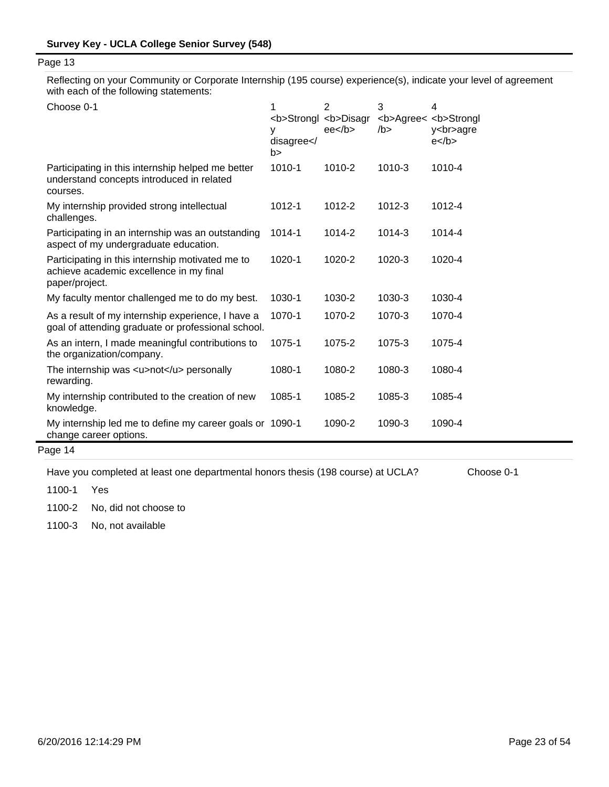Reflecting on your Community or Corporate Internship (195 course) experience(s), indicate your level of agreement with each of the following statements:

| Choose 0-1                                                                                                    | 1<br><b>Strongl <b>Disagr<br/>у<br/>disagree<!--<br-->b&gt;</b></b> | $\overline{2}$<br>ee <sub>2</sub> | 3<br><b>Agree&lt; <b>Strongl<br/>/b &gt;</b></b> | 4<br>y<br>agre<br>$e$ |
|---------------------------------------------------------------------------------------------------------------|---------------------------------------------------------------------|-----------------------------------|--------------------------------------------------|-----------------------|
| Participating in this internship helped me better<br>understand concepts introduced in related<br>courses.    | 1010-1                                                              | 1010-2                            | 1010-3                                           | 1010-4                |
| My internship provided strong intellectual<br>challenges.                                                     | 1012-1                                                              | 1012-2                            | 1012-3                                           | 1012-4                |
| Participating in an internship was an outstanding<br>aspect of my undergraduate education.                    | $1014 - 1$                                                          | 1014-2                            | 1014-3                                           | 1014-4                |
| Participating in this internship motivated me to<br>achieve academic excellence in my final<br>paper/project. | 1020-1                                                              | 1020-2                            | 1020-3                                           | 1020-4                |
| My faculty mentor challenged me to do my best.                                                                | 1030-1                                                              | 1030-2                            | 1030-3                                           | 1030-4                |
| As a result of my internship experience, I have a<br>goal of attending graduate or professional school.       | 1070-1                                                              | 1070-2                            | 1070-3                                           | 1070-4                |
| As an intern, I made meaningful contributions to<br>the organization/company.                                 | 1075-1                                                              | 1075-2                            | 1075-3                                           | 1075-4                |
| The internship was <u>not</u> personally<br>rewarding.                                                        | 1080-1                                                              | 1080-2                            | 1080-3                                           | 1080-4                |
| My internship contributed to the creation of new<br>knowledge.                                                | 1085-1                                                              | 1085-2                            | 1085-3                                           | 1085-4                |
| My internship led me to define my career goals or 1090-1<br>change career options.                            |                                                                     | 1090-2                            | 1090-3                                           | 1090-4                |

Page 14

Have you completed at least one departmental honors thesis (198 course) at UCLA? Choose 0-1

1100-1 Yes

1100-2 No, did not choose to

1100-3 No, not available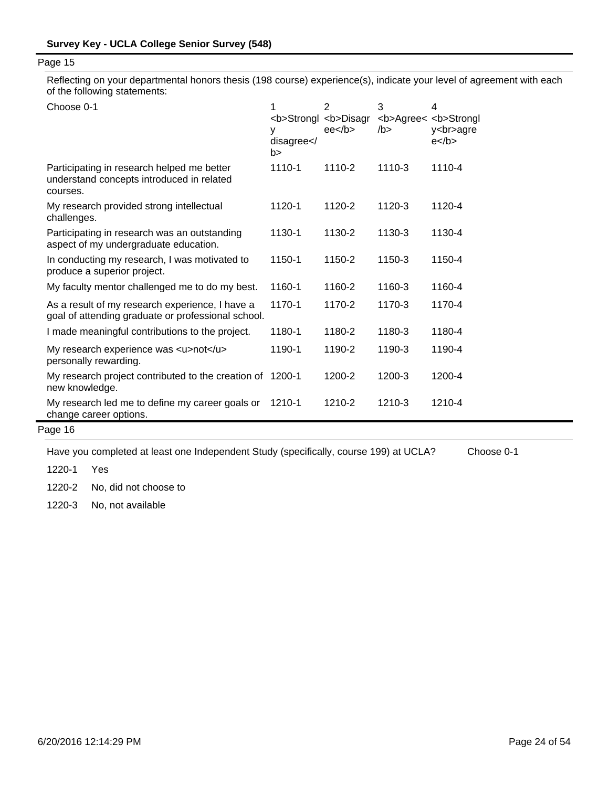Reflecting on your departmental honors thesis (198 course) experience(s), indicate your level of agreement with each of the following statements:

| Choose 0-1                                                                                            | <b>Strongl <b>Disagr<br/>٧<br/>disagree<!--<br-->b&gt;</b></b> | $\overline{2}$<br>ee <sub>2</sub> | 3<br>/b > | 4<br><b>Agree&lt; <b>Strongl<br/>y<br/>agre<br/><math>e</math> </b></b> |
|-------------------------------------------------------------------------------------------------------|----------------------------------------------------------------|-----------------------------------|-----------|-------------------------------------------------------------------------|
| Participating in research helped me better<br>understand concepts introduced in related<br>courses.   | 1110-1                                                         | 1110-2                            | 1110-3    | 1110-4                                                                  |
| My research provided strong intellectual<br>challenges.                                               | 1120-1                                                         | 1120-2                            | 1120-3    | 1120-4                                                                  |
| Participating in research was an outstanding<br>aspect of my undergraduate education.                 | 1130-1                                                         | 1130-2                            | 1130-3    | 1130-4                                                                  |
| In conducting my research, I was motivated to<br>produce a superior project.                          | 1150-1                                                         | 1150-2                            | 1150-3    | 1150-4                                                                  |
| My faculty mentor challenged me to do my best.                                                        | 1160-1                                                         | 1160-2                            | 1160-3    | 1160-4                                                                  |
| As a result of my research experience, I have a<br>goal of attending graduate or professional school. | 1170-1                                                         | 1170-2                            | 1170-3    | 1170-4                                                                  |
| I made meaningful contributions to the project.                                                       | 1180-1                                                         | 1180-2                            | 1180-3    | 1180-4                                                                  |
| My research experience was <u>not</u><br>personally rewarding.                                        | 1190-1                                                         | 1190-2                            | 1190-3    | 1190-4                                                                  |
| My research project contributed to the creation of 1200-1<br>new knowledge.                           |                                                                | 1200-2                            | 1200-3    | 1200-4                                                                  |
| My research led me to define my career goals or<br>change career options.                             | 1210-1                                                         | 1210-2                            | 1210-3    | 1210-4                                                                  |

# Page 16

Have you completed at least one Independent Study (specifically, course 199) at UCLA? Choose 0-1

1220-1 Yes

1220-2 No, did not choose to

1220-3 No, not available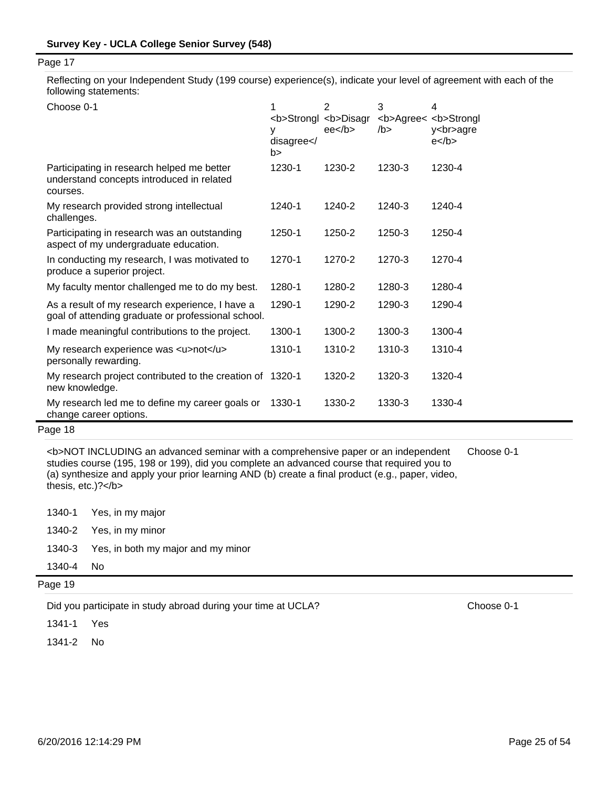Reflecting on your Independent Study (199 course) experience(s), indicate your level of agreement with each of the following statements:

| Choose 0-1                                                                                            | 1<br><b>Strongl <b>Disagr<br/>٧<br/>disagree<!--<br-->b&gt;</b></b> | 2<br>ee <sub>2</sub> | 3<br><b>Agree&lt; <b>Strongl<br/>/b &gt;</b></b> | 4<br>y<br>agre<br>$e$ |
|-------------------------------------------------------------------------------------------------------|---------------------------------------------------------------------|----------------------|--------------------------------------------------|-----------------------|
| Participating in research helped me better<br>understand concepts introduced in related<br>courses.   | 1230-1                                                              | 1230-2               | 1230-3                                           | 1230-4                |
| My research provided strong intellectual<br>challenges.                                               | 1240-1                                                              | 1240-2               | 1240-3                                           | 1240-4                |
| Participating in research was an outstanding<br>aspect of my undergraduate education.                 | 1250-1                                                              | 1250-2               | 1250-3                                           | 1250-4                |
| In conducting my research, I was motivated to<br>produce a superior project.                          | 1270-1                                                              | 1270-2               | 1270-3                                           | 1270-4                |
| My faculty mentor challenged me to do my best.                                                        | 1280-1                                                              | 1280-2               | 1280-3                                           | 1280-4                |
| As a result of my research experience, I have a<br>goal of attending graduate or professional school. | 1290-1                                                              | 1290-2               | 1290-3                                           | 1290-4                |
| I made meaningful contributions to the project.                                                       | 1300-1                                                              | 1300-2               | 1300-3                                           | 1300-4                |
| My research experience was <u>not</u><br>personally rewarding.                                        | 1310-1                                                              | 1310-2               | 1310-3                                           | 1310-4                |
| My research project contributed to the creation of 1320-1<br>new knowledge.                           |                                                                     | 1320-2               | 1320-3                                           | 1320-4                |
| My research led me to define my career goals or<br>change career options.                             | 1330-1                                                              | 1330-2               | 1330-3                                           | 1330-4                |

# Page 18

<b>NOT INCLUDING an advanced seminar with a comprehensive paper or an independent studies course (195, 198 or 199), did you complete an advanced course that required you to (a) synthesize and apply your prior learning AND (b) create a final product (e.g., paper, video, thesis, etc.)?</b> Choose 0-1

|           | 1340-1 Yes, in my major                   |
|-----------|-------------------------------------------|
|           | 1340-2 Yes, in my minor                   |
|           | 1340-3 Yes, in both my major and my minor |
| 1340-4 No |                                           |

Page 19

Did you participate in study abroad during your time at UCLA? Choose 0-1

1341-1 Yes

1341-2 No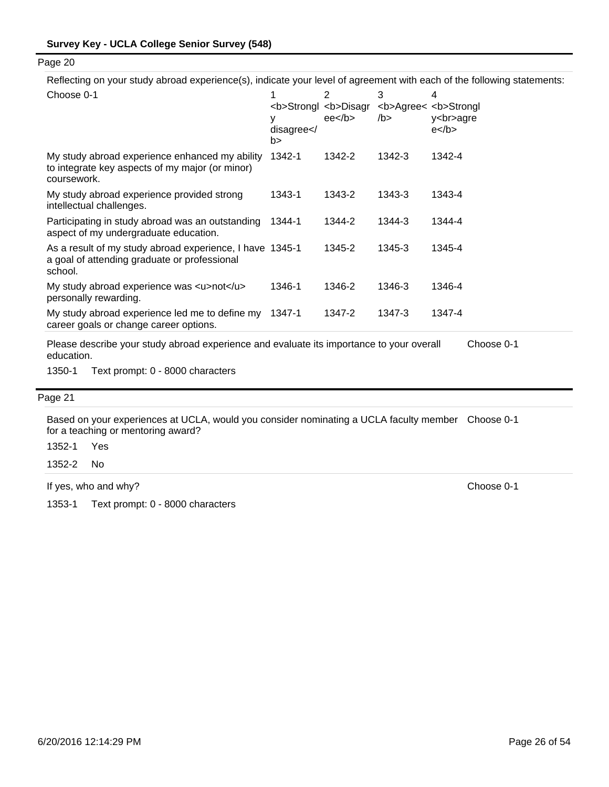Reflecting on your study abroad experience(s), indicate your level of agreement with each of the following statements:

| Choose 0-1                                                                                                          | disagree < /<br>b> | 2<br><b>Strongl <b>Disagr<br/><math>ee</math>/b&gt;</b></b> | 3<br>/b | 4<br><b>Agree&lt; <b>Strongl<br/>y<br/>agre<br/><math>e</math> </b></b> |
|---------------------------------------------------------------------------------------------------------------------|--------------------|-------------------------------------------------------------|---------|-------------------------------------------------------------------------|
| My study abroad experience enhanced my ability<br>to integrate key aspects of my major (or minor)<br>coursework.    | 1342-1             | 1342-2                                                      | 1342-3  | 1342-4                                                                  |
| My study abroad experience provided strong<br>intellectual challenges.                                              | 1343-1             | 1343-2                                                      | 1343-3  | 1343-4                                                                  |
| Participating in study abroad was an outstanding<br>aspect of my undergraduate education.                           | 1344-1             | 1344-2                                                      | 1344-3  | 1344-4                                                                  |
| As a result of my study abroad experience, I have 1345-1<br>a goal of attending graduate or professional<br>school. |                    | 1345-2                                                      | 1345-3  | 1345-4                                                                  |
| My study abroad experience was <u>not</u><br>personally rewarding.                                                  | 1346-1             | 1346-2                                                      | 1346-3  | 1346-4                                                                  |
| My study abroad experience led me to define my<br>career goals or change career options.                            | 1347-1             | 1347-2                                                      | 1347-3  | 1347-4                                                                  |
| Please describe your study abroad experience and evaluate its importance to your overall                            |                    |                                                             |         | Choose 0-1                                                              |

ay abroad experience and evaluate its importance to your overall education.

1350-1 Text prompt: 0 - 8000 characters

#### Page 21

Based on your experiences at UCLA, would you consider nominating a UCLA faculty member Choose 0-1 for a teaching or mentoring award?

1352-1 Yes

1352-2 No

If yes, who and why? Choose 0-1

1353-1 Text prompt: 0 - 8000 characters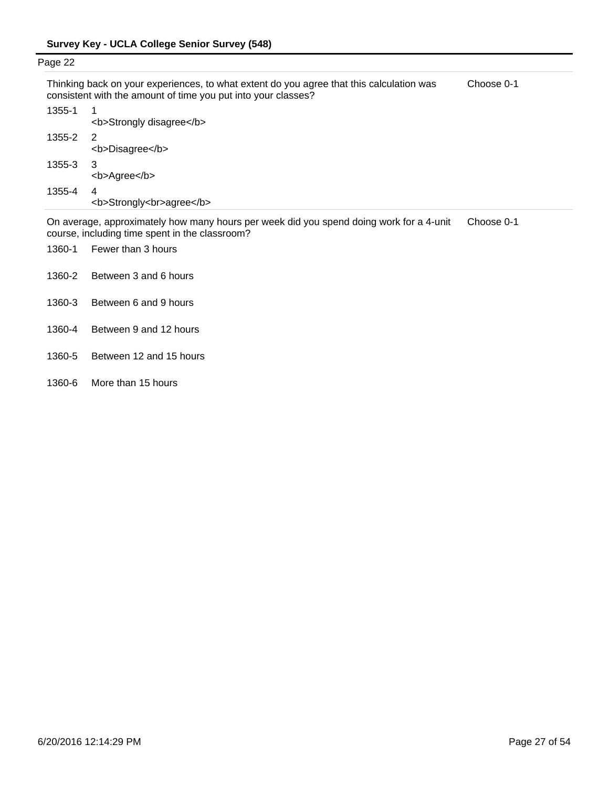| Page 22 |                                                                                                                                                           |            |
|---------|-----------------------------------------------------------------------------------------------------------------------------------------------------------|------------|
|         | Thinking back on your experiences, to what extent do you agree that this calculation was<br>consistent with the amount of time you put into your classes? | Choose 0-1 |
| 1355-1  | <b>Strongly disagree</b>                                                                                                                                  |            |
| 1355-2  | -2<br><b>Disagree</b>                                                                                                                                     |            |
| 1355-3  | 3<br><b>Agree</b>                                                                                                                                         |            |
| 1355-4  | 4<br><b>Strongly<br/>agree</b>                                                                                                                            |            |

On average, approximately how many hours per week did you spend doing work for a 4-unit course, including time spent in the classroom? Choose 0-1

- 1360-1 Fewer than 3 hours
- 1360-2 Between 3 and 6 hours
- 1360-3 Between 6 and 9 hours
- 1360-4 Between 9 and 12 hours
- 1360-5 Between 12 and 15 hours
- 1360-6 More than 15 hours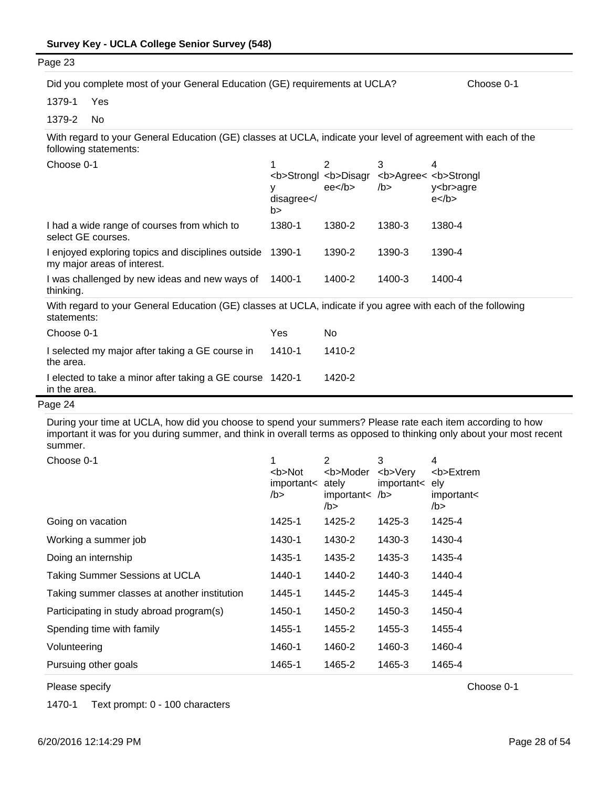| Page 23                                                                                                                                |                           |                                                             |                                                  |                       |
|----------------------------------------------------------------------------------------------------------------------------------------|---------------------------|-------------------------------------------------------------|--------------------------------------------------|-----------------------|
| Did you complete most of your General Education (GE) requirements at UCLA?                                                             |                           |                                                             |                                                  | Choose 0-1            |
| 1379-1<br>Yes                                                                                                                          |                           |                                                             |                                                  |                       |
| 1379-2<br>No                                                                                                                           |                           |                                                             |                                                  |                       |
| With regard to your General Education (GE) classes at UCLA, indicate your level of agreement with each of the<br>following statements: |                           |                                                             |                                                  |                       |
| Choose 0-1                                                                                                                             | 1<br>٧<br>disagree <br b> | 2<br><b>Strongl <b>Disagr<br/><math>ee</math>/b&gt;</b></b> | 3<br><b>Agree&lt; <b>Strongl<br/>/b &gt;</b></b> | 4<br>y<br>agre<br>$e$ |
| I had a wide range of courses from which to<br>select GE courses.                                                                      | 1380-1                    | 1380-2                                                      | 1380-3                                           | 1380-4                |
| I enjoyed exploring topics and disciplines outside<br>my major areas of interest.                                                      | 1390-1                    | 1390-2                                                      | 1390-3                                           | 1390-4                |
| I was challenged by new ideas and new ways of<br>thinking.                                                                             | 1400-1                    | 1400-2                                                      | 1400-3                                           | 1400-4                |
| With regard to your General Education (GE) classes at UCLA, indicate if you agree with each of the following<br>statements:            |                           |                                                             |                                                  |                       |
| Choose 0-1                                                                                                                             | Yes                       | No                                                          |                                                  |                       |
| I selected my major after taking a GE course in<br>the area.                                                                           | 1410-1                    | 1410-2                                                      |                                                  |                       |
| I elected to take a minor after taking a GE course 1420-1<br>in the area.                                                              |                           | 1420-2                                                      |                                                  |                       |

During your time at UCLA, how did you choose to spend your summers? Please rate each item according to how important it was for you during summer, and think in overall terms as opposed to thinking only about your most recent summer.

| Choose 0-1                                   | <b>Not<br/>important&lt; ately<br/>/b</b> | 2<br><b>Moder<br/>important<math>&lt;</math> /b&gt;<br/>/b</b> | 3<br><b>Very<br/>important&lt; ely</b> | 4<br><b>Extrem<br/>important&lt;<br/>/b</b> |
|----------------------------------------------|-------------------------------------------|----------------------------------------------------------------|----------------------------------------|---------------------------------------------|
| Going on vacation                            | 1425-1                                    | 1425-2                                                         | 1425-3                                 | 1425-4                                      |
| Working a summer job                         | 1430-1                                    | 1430-2                                                         | 1430-3                                 | 1430-4                                      |
| Doing an internship                          | 1435-1                                    | 1435-2                                                         | 1435-3                                 | 1435-4                                      |
| Taking Summer Sessions at UCLA               | 1440-1                                    | 1440-2                                                         | 1440-3                                 | 1440-4                                      |
| Taking summer classes at another institution | 1445-1                                    | 1445-2                                                         | 1445-3                                 | 1445-4                                      |
| Participating in study abroad program(s)     | 1450-1                                    | 1450-2                                                         | 1450-3                                 | 1450-4                                      |
| Spending time with family                    | 1455-1                                    | 1455-2                                                         | 1455-3                                 | 1455-4                                      |
| Volunteering                                 | 1460-1                                    | 1460-2                                                         | 1460-3                                 | 1460-4                                      |
| Pursuing other goals                         | 1465-1                                    | 1465-2                                                         | 1465-3                                 | 1465-4                                      |

Please specify Choose 0-1

1470-1 Text prompt: 0 - 100 characters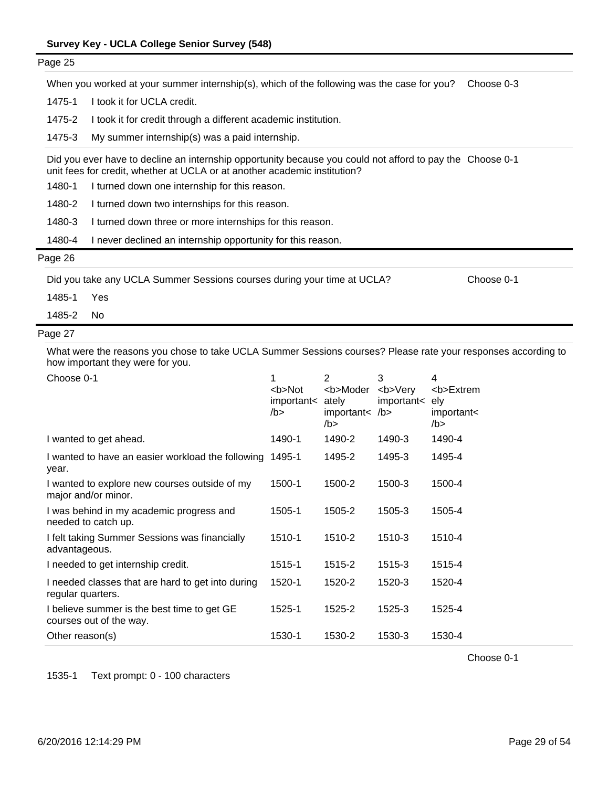| Page 25    |                                                                                                                                                                                        |   |   |   |   |            |
|------------|----------------------------------------------------------------------------------------------------------------------------------------------------------------------------------------|---|---|---|---|------------|
|            | When you worked at your summer internship(s), which of the following was the case for you?                                                                                             |   |   |   |   | Choose 0-3 |
| 1475-1     | I took it for UCLA credit.                                                                                                                                                             |   |   |   |   |            |
| 1475-2     | I took it for credit through a different academic institution.                                                                                                                         |   |   |   |   |            |
| 1475-3     | My summer internship(s) was a paid internship.                                                                                                                                         |   |   |   |   |            |
|            | Did you ever have to decline an internship opportunity because you could not afford to pay the Choose 0-1<br>unit fees for credit, whether at UCLA or at another academic institution? |   |   |   |   |            |
| 1480-1     | I turned down one internship for this reason.                                                                                                                                          |   |   |   |   |            |
| 1480-2     | I turned down two internships for this reason.                                                                                                                                         |   |   |   |   |            |
| 1480-3     | I turned down three or more internships for this reason.                                                                                                                               |   |   |   |   |            |
| 1480-4     | I never declined an internship opportunity for this reason.                                                                                                                            |   |   |   |   |            |
| Page 26    |                                                                                                                                                                                        |   |   |   |   |            |
|            | Did you take any UCLA Summer Sessions courses during your time at UCLA?                                                                                                                |   |   |   |   | Choose 0-1 |
| 1485-1     | Yes                                                                                                                                                                                    |   |   |   |   |            |
| 1485-2     | No.                                                                                                                                                                                    |   |   |   |   |            |
| Page 27    |                                                                                                                                                                                        |   |   |   |   |            |
|            | What were the reasons you chose to take UCLA Summer Sessions courses? Please rate your responses according to<br>how important they were for you.                                      |   |   |   |   |            |
| Choose 0-1 |                                                                                                                                                                                        | 1 | 2 | 3 | 4 |            |

| CHOOSE U-T                                                             | <b>Not<br/>important&lt;<br/>/b</b> | <b>Moder<br/>ately<br/>important&lt; /b&gt;<br/>/b</b> | <b>Very<br/>important&lt;</b> | 4<br><b>Extrem<br/>ely<br/>important&lt;<br/>/b &gt;</b> |
|------------------------------------------------------------------------|-------------------------------------|--------------------------------------------------------|-------------------------------|----------------------------------------------------------|
| I wanted to get ahead.                                                 | 1490-1                              | 1490-2                                                 | 1490-3                        | 1490-4                                                   |
| I wanted to have an easier workload the following<br>year.             | 1495-1                              | 1495-2                                                 | 1495-3                        | 1495-4                                                   |
| I wanted to explore new courses outside of my<br>major and/or minor.   | 1500-1                              | 1500-2                                                 | 1500-3                        | 1500-4                                                   |
| I was behind in my academic progress and<br>needed to catch up.        | 1505-1                              | 1505-2                                                 | 1505-3                        | 1505-4                                                   |
| I felt taking Summer Sessions was financially<br>advantageous.         | 1510-1                              | 1510-2                                                 | 1510-3                        | 1510-4                                                   |
| I needed to get internship credit.                                     | 1515-1                              | 1515-2                                                 | 1515-3                        | 1515-4                                                   |
| I needed classes that are hard to get into during<br>regular quarters. | 1520-1                              | 1520-2                                                 | 1520-3                        | 1520-4                                                   |
| I believe summer is the best time to get GE<br>courses out of the way. | 1525-1                              | 1525-2                                                 | 1525-3                        | 1525-4                                                   |
| Other reason(s)                                                        | 1530-1                              | 1530-2                                                 | 1530-3                        | 1530-4                                                   |

Choose 0-1

1535-1 Text prompt: 0 - 100 characters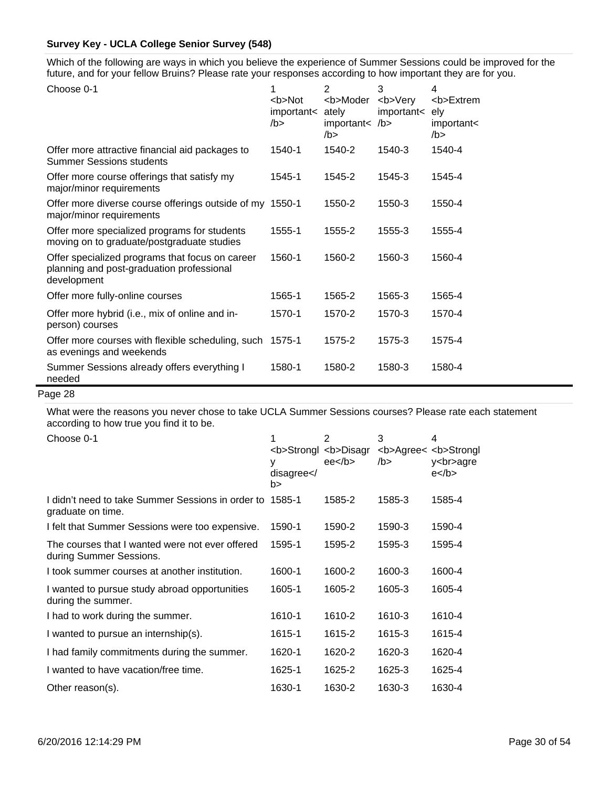Which of the following are ways in which you believe the experience of Summer Sessions could be improved for the future, and for your fellow Bruins? Please rate your responses according to how important they are for you.

| Choose 0-1                                                                                                  | 1<br><b>Not<br/>important&lt;<br/>/b &gt;</b> | 2<br><b>Moder<br/>ately<br/>important&lt; /b&gt;<br/><math>/b</math>&gt;</b> | 3<br><b>Very<br/>important&lt;</b> | 4<br><b>Extrem<br/>ely<br/>important&lt;<br/><math>/b</math>&gt;</b> |
|-------------------------------------------------------------------------------------------------------------|-----------------------------------------------|------------------------------------------------------------------------------|------------------------------------|----------------------------------------------------------------------|
| Offer more attractive financial aid packages to<br><b>Summer Sessions students</b>                          | 1540-1                                        | 1540-2                                                                       | 1540-3                             | 1540-4                                                               |
| Offer more course offerings that satisfy my<br>major/minor requirements                                     | 1545-1                                        | 1545-2                                                                       | 1545-3                             | 1545-4                                                               |
| Offer more diverse course offerings outside of my 1550-1<br>major/minor requirements                        |                                               | 1550-2                                                                       | 1550-3                             | 1550-4                                                               |
| Offer more specialized programs for students<br>moving on to graduate/postgraduate studies                  | 1555-1                                        | 1555-2                                                                       | 1555-3                             | 1555-4                                                               |
| Offer specialized programs that focus on career<br>planning and post-graduation professional<br>development | 1560-1                                        | 1560-2                                                                       | 1560-3                             | 1560-4                                                               |
| Offer more fully-online courses                                                                             | 1565-1                                        | 1565-2                                                                       | 1565-3                             | 1565-4                                                               |
| Offer more hybrid (i.e., mix of online and in-<br>person) courses                                           | 1570-1                                        | 1570-2                                                                       | 1570-3                             | 1570-4                                                               |
| Offer more courses with flexible scheduling, such 1575-1<br>as evenings and weekends                        |                                               | 1575-2                                                                       | 1575-3                             | 1575-4                                                               |
| Summer Sessions already offers everything I<br>needed                                                       | 1580-1                                        | 1580-2                                                                       | 1580-3                             | 1580-4                                                               |

### Page 28

What were the reasons you never chose to take UCLA Summer Sessions courses? Please rate each statement according to how true you find it to be.

| accoruniy to no |  |  |
|-----------------|--|--|
| ^hoose ∩-1      |  |  |

| Choose 0-1                                                                 | 1<br><b>Strongl <b>Disagr<br/>disagree &lt; /<br/>b&gt;</b></b> | 2<br>ee <sub>2</sub> | 3<br>/b > | 4<br><b>Agree&lt; <b>Strongl<br/>y<br/>agre<br/><math>e</math> </b></b> |
|----------------------------------------------------------------------------|-----------------------------------------------------------------|----------------------|-----------|-------------------------------------------------------------------------|
| I didn't need to take Summer Sessions in order to<br>graduate on time.     | 1585-1                                                          | 1585-2               | 1585-3    | 1585-4                                                                  |
| I felt that Summer Sessions were too expensive.                            | 1590-1                                                          | 1590-2               | 1590-3    | 1590-4                                                                  |
| The courses that I wanted were not ever offered<br>during Summer Sessions. | 1595-1                                                          | 1595-2               | 1595-3    | 1595-4                                                                  |
| I took summer courses at another institution.                              | 1600-1                                                          | 1600-2               | 1600-3    | 1600-4                                                                  |
| I wanted to pursue study abroad opportunities<br>during the summer.        | 1605-1                                                          | 1605-2               | 1605-3    | 1605-4                                                                  |
| I had to work during the summer.                                           | 1610-1                                                          | 1610-2               | 1610-3    | 1610-4                                                                  |
| I wanted to pursue an internship(s).                                       | 1615-1                                                          | 1615-2               | 1615-3    | 1615-4                                                                  |
| I had family commitments during the summer.                                | 1620-1                                                          | 1620-2               | 1620-3    | 1620-4                                                                  |
| I wanted to have vacation/free time.                                       | 1625-1                                                          | 1625-2               | 1625-3    | 1625-4                                                                  |
| Other reason(s).                                                           | 1630-1                                                          | 1630-2               | 1630-3    | 1630-4                                                                  |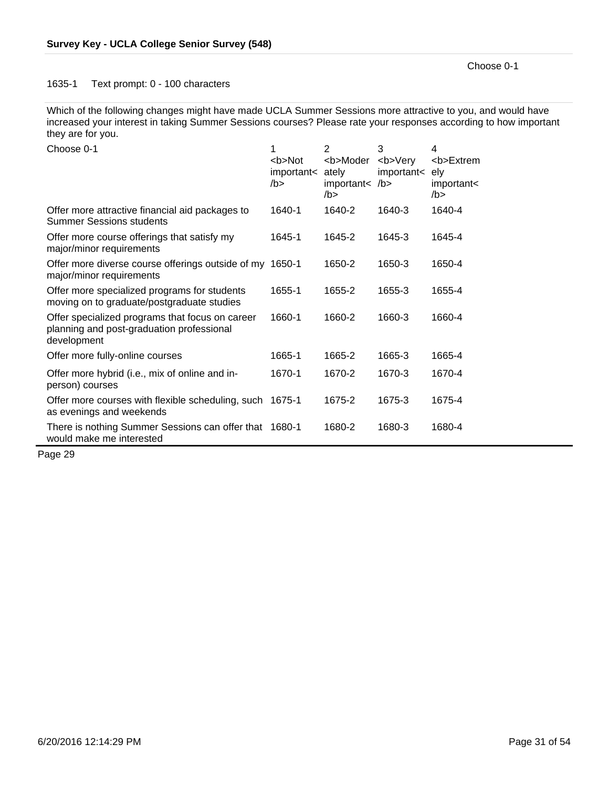### 1635-1 Text prompt: 0 - 100 characters

Which of the following changes might have made UCLA Summer Sessions more attractive to you, and would have increased your interest in taking Summer Sessions courses? Please rate your responses according to how important they are for you.

| Choose 0-1                                                                                                  | 1<br><b>Not<br/>important&lt;<br/>/b &gt;</b> | 2<br><b>Moder<br/>ately<br/>important&lt; /b&gt;<br/>/b &gt;</b> | 3<br><b>Very<br/>important&lt;</b> | 4<br><b>Extrem<br/>ely<br/>important&lt;<br/>/b &gt;</b> |
|-------------------------------------------------------------------------------------------------------------|-----------------------------------------------|------------------------------------------------------------------|------------------------------------|----------------------------------------------------------|
| Offer more attractive financial aid packages to<br><b>Summer Sessions students</b>                          | 1640-1                                        | 1640-2                                                           | 1640-3                             | 1640-4                                                   |
| Offer more course offerings that satisfy my<br>major/minor requirements                                     | 1645-1                                        | 1645-2                                                           | 1645-3                             | 1645-4                                                   |
| Offer more diverse course offerings outside of my 1650-1<br>major/minor requirements                        |                                               | 1650-2                                                           | 1650-3                             | 1650-4                                                   |
| Offer more specialized programs for students<br>moving on to graduate/postgraduate studies                  | 1655-1                                        | 1655-2                                                           | 1655-3                             | 1655-4                                                   |
| Offer specialized programs that focus on career<br>planning and post-graduation professional<br>development | 1660-1                                        | 1660-2                                                           | 1660-3                             | 1660-4                                                   |
| Offer more fully-online courses                                                                             | 1665-1                                        | 1665-2                                                           | 1665-3                             | 1665-4                                                   |
| Offer more hybrid (i.e., mix of online and in-<br>person) courses                                           | 1670-1                                        | 1670-2                                                           | 1670-3                             | 1670-4                                                   |
| Offer more courses with flexible scheduling, such 1675-1<br>as evenings and weekends                        |                                               | 1675-2                                                           | 1675-3                             | 1675-4                                                   |
| There is nothing Summer Sessions can offer that 1680-1<br>would make me interested                          |                                               | 1680-2                                                           | 1680-3                             | 1680-4                                                   |

Page 29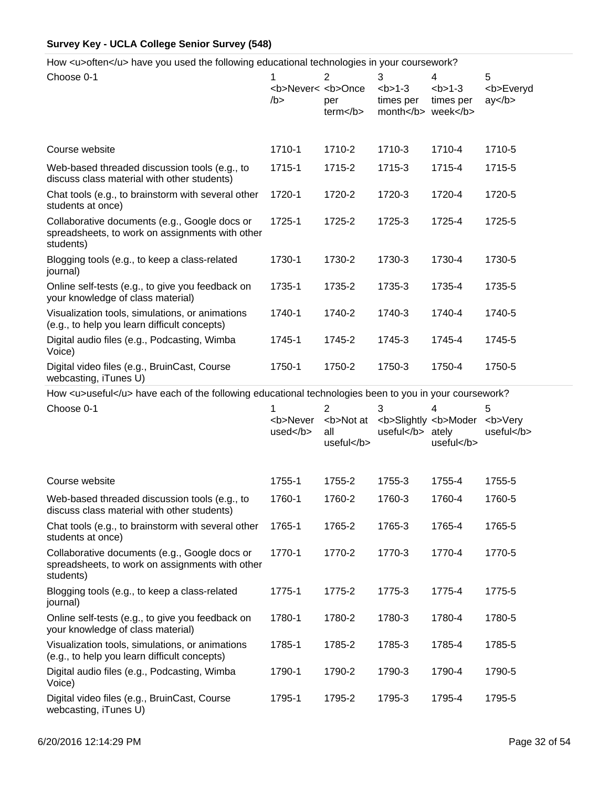How <u>often</u> have you used the following educational technologies in your coursework?

| Choose 0-1                                                                                                    | 1<br><b>Never&lt; <b>Once<br/>/b &gt;</b></b> | $\overline{2}$<br>per<br>term <th>3<br/><math>b &gt; 1-3</math><br/>times per<br/>month week</th> <th>4<br/><math>1-3</math><br/>times per</th> <th>5<br/><b>Everyd<br/>ay </b></th> | 3<br>$b > 1-3$<br>times per<br>month week    | 4<br>$1-3$<br>times per | 5<br><b>Everyd<br/>ay </b>  |
|---------------------------------------------------------------------------------------------------------------|-----------------------------------------------|--------------------------------------------------------------------------------------------------------------------------------------------------------------------------------------|----------------------------------------------|-------------------------|-----------------------------|
| Course website                                                                                                | 1710-1                                        | 1710-2                                                                                                                                                                               | 1710-3                                       | 1710-4                  | 1710-5                      |
| Web-based threaded discussion tools (e.g., to<br>discuss class material with other students)                  | 1715-1                                        | 1715-2                                                                                                                                                                               | 1715-3                                       | 1715-4                  | 1715-5                      |
| Chat tools (e.g., to brainstorm with several other<br>students at once)                                       | 1720-1                                        | 1720-2                                                                                                                                                                               | 1720-3                                       | 1720-4                  | 1720-5                      |
| Collaborative documents (e.g., Google docs or<br>spreadsheets, to work on assignments with other<br>students) | 1725-1                                        | 1725-2                                                                                                                                                                               | 1725-3                                       | 1725-4                  | 1725-5                      |
| Blogging tools (e.g., to keep a class-related<br>journal)                                                     | 1730-1                                        | 1730-2                                                                                                                                                                               | 1730-3                                       | 1730-4                  | 1730-5                      |
| Online self-tests (e.g., to give you feedback on<br>your knowledge of class material)                         | 1735-1                                        | 1735-2                                                                                                                                                                               | 1735-3                                       | 1735-4                  | 1735-5                      |
| Visualization tools, simulations, or animations<br>(e.g., to help you learn difficult concepts)               | 1740-1                                        | 1740-2                                                                                                                                                                               | 1740-3                                       | 1740-4                  | 1740-5                      |
| Digital audio files (e.g., Podcasting, Wimba<br>Voice)                                                        | 1745-1                                        | 1745-2                                                                                                                                                                               | 1745-3                                       | 1745-4                  | 1745-5                      |
| Digital video files (e.g., BruinCast, Course<br>webcasting, iTunes U)                                         | 1750-1                                        | 1750-2                                                                                                                                                                               | 1750-3                                       | 1750-4                  | 1750-5                      |
| How <u>useful</u> have each of the following educational technologies been to you in your coursework?         |                                               |                                                                                                                                                                                      |                                              |                         |                             |
| Choose 0-1                                                                                                    | <b>Never<br/><math>used&lt;</math>/b&gt;</b>  | 2<br><b>Not at<br/>all<br/>useful</b>                                                                                                                                                | З<br><b>Slightly <b>Moder<br/>useful</b></b> | ately<br>useful         | 5<br><b>Very<br/>useful</b> |
| Course website                                                                                                | 1755-1                                        | 1755-2                                                                                                                                                                               | 1755-3                                       | 1755-4                  | 1755-5                      |
| Web-based threaded discussion tools (e.g., to<br>discuss class material with other students)                  | 1760-1                                        | 1760-2                                                                                                                                                                               | 1760-3                                       | 1760-4                  | 1760-5                      |
| Chat tools (e.g., to brainstorm with several other<br>students at once)                                       | 1765-1                                        | 1765-2                                                                                                                                                                               | 1765-3                                       | 1765-4                  | 1765-5                      |
| Collaborative documents (e.g., Google docs or<br>spreadsheets, to work on assignments with other<br>students) | 1770-1                                        | 1770-2                                                                                                                                                                               | 1770-3                                       | 1770-4                  | 1770-5                      |
| Blogging tools (e.g., to keep a class-related<br>journal)                                                     |                                               |                                                                                                                                                                                      |                                              |                         |                             |
|                                                                                                               | 1775-1                                        | 1775-2                                                                                                                                                                               | 1775-3                                       | 1775-4                  | 1775-5                      |
| Online self-tests (e.g., to give you feedback on<br>your knowledge of class material)                         | 1780-1                                        | 1780-2                                                                                                                                                                               | 1780-3                                       | 1780-4                  | 1780-5                      |
| Visualization tools, simulations, or animations<br>(e.g., to help you learn difficult concepts)               | 1785-1                                        | 1785-2                                                                                                                                                                               | 1785-3                                       | 1785-4                  | 1785-5                      |
| Digital audio files (e.g., Podcasting, Wimba<br>Voice)                                                        | 1790-1                                        | 1790-2                                                                                                                                                                               | 1790-3                                       | 1790-4                  | 1790-5                      |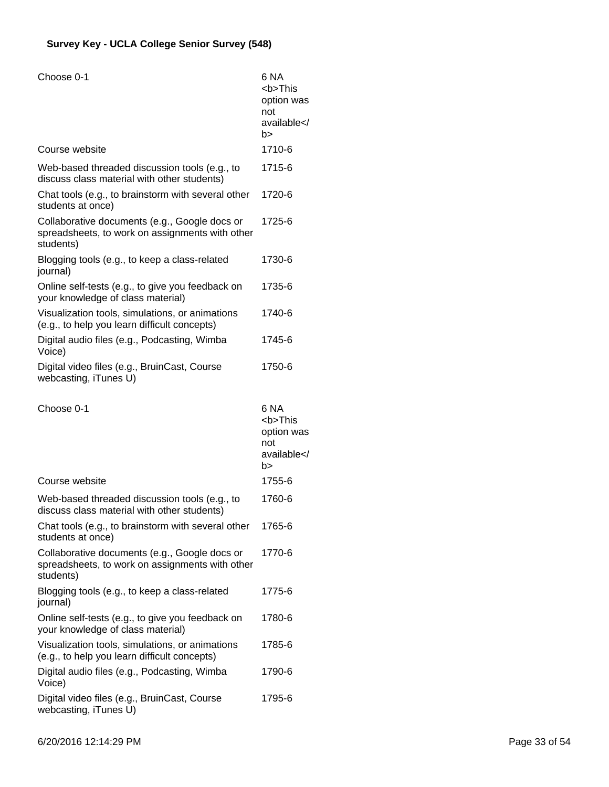| Choose 0-1                                                                                                    | 6 NA<br><b>This<br/>option was<br/>not<br/>available<!--<br-->b&gt;</b> |
|---------------------------------------------------------------------------------------------------------------|-------------------------------------------------------------------------|
| Course website                                                                                                | 1710-6                                                                  |
| Web-based threaded discussion tools (e.g., to<br>discuss class material with other students)                  | 1715-6                                                                  |
| Chat tools (e.g., to brainstorm with several other<br>students at once)                                       | 1720-6                                                                  |
| Collaborative documents (e.g., Google docs or<br>spreadsheets, to work on assignments with other<br>students) | 1725-6                                                                  |
| Blogging tools (e.g., to keep a class-related<br>journal)                                                     | 1730-6                                                                  |
| Online self-tests (e.g., to give you feedback on<br>your knowledge of class material)                         | 1735-6                                                                  |
| Visualization tools, simulations, or animations<br>(e.g., to help you learn difficult concepts)               | 1740-6                                                                  |
| Digital audio files (e.g., Podcasting, Wimba<br>Voice)                                                        | 1745-6                                                                  |
| Digital video files (e.g., BruinCast, Course<br>webcasting, iTunes U)                                         | 1750-6                                                                  |
|                                                                                                               |                                                                         |
| Choose 0-1                                                                                                    | 6 NA<br><b>This<br/>option was<br/>not<br/>available<!--<br-->b&gt;</b> |
| Course website                                                                                                | 1755-6                                                                  |
| Web-based threaded discussion tools (e.g., to<br>discuss class material with other students)                  | 1760-6                                                                  |
| Chat tools (e.g., to brainstorm with several other<br>students at once)                                       | 1765-6                                                                  |
| Collaborative documents (e.g., Google docs or<br>spreadsheets, to work on assignments with other<br>students) | 1770-6                                                                  |
| Blogging tools (e.g., to keep a class-related<br>journal)                                                     | 1775-6                                                                  |
| Online self-tests (e.g., to give you feedback on<br>your knowledge of class material)                         | 1780-6                                                                  |
| Visualization tools, simulations, or animations<br>(e.g., to help you learn difficult concepts)               | 1785-6                                                                  |
| Digital audio files (e.g., Podcasting, Wimba<br>Voice)                                                        | 1790-6                                                                  |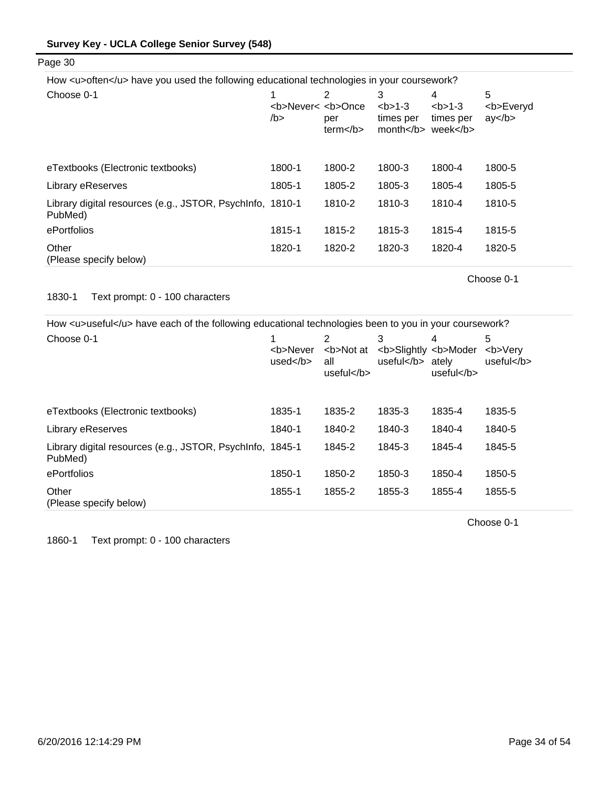Page 30

| How <u>often</u> have you used the following educational technologies in your coursework? |                                     |                                                                                                                                                                          |                                                                                                                                  |                                                                        |                            |
|-------------------------------------------------------------------------------------------|-------------------------------------|--------------------------------------------------------------------------------------------------------------------------------------------------------------------------|----------------------------------------------------------------------------------------------------------------------------------|------------------------------------------------------------------------|----------------------------|
| Choose 0-1                                                                                | <b>Never&lt; <b>Once<br/>/b</b></b> | 2<br>per<br>term <th>3<br/><math>2 - 3</math><br/>times per<br/>month <th>4<br/><math>2 - 3</math><br/>times per<br/>week <th>5<br/><b>Everyd<br/>ay </b></th></th></th> | 3<br>$2 - 3$<br>times per<br>month <th>4<br/><math>2 - 3</math><br/>times per<br/>week <th>5<br/><b>Everyd<br/>ay </b></th></th> | 4<br>$2 - 3$<br>times per<br>week <th>5<br/><b>Everyd<br/>ay </b></th> | 5<br><b>Everyd<br/>ay </b> |
| eTextbooks (Electronic textbooks)                                                         | 1800-1                              | 1800-2                                                                                                                                                                   | 1800-3                                                                                                                           | 1800-4                                                                 | 1800-5                     |
| Library eReserves                                                                         | 1805-1                              | 1805-2                                                                                                                                                                   | 1805-3                                                                                                                           | 1805-4                                                                 | 1805-5                     |
| Library digital resources (e.g., JSTOR, PsychInfo, 1810-1<br>PubMed)                      |                                     | 1810-2                                                                                                                                                                   | 1810-3                                                                                                                           | 1810-4                                                                 | 1810-5                     |
| ePortfolios                                                                               | 1815-1                              | 1815-2                                                                                                                                                                   | 1815-3                                                                                                                           | 1815-4                                                                 | 1815-5                     |
| Other<br>(Please specify below)                                                           | 1820-1                              | 1820-2                                                                                                                                                                   | 1820-3                                                                                                                           | 1820-4                                                                 | 1820-5                     |

Choose 0-1

### 1830-1 Text prompt: 0 - 100 characters

How <u>useful</u> have each of the following educational technologies been to you in your coursework?

| Choose 0-1                                                           | <b>Never<br/>used<math>&lt;</math>/b<math>&gt;</math></b> | 2<br><b>Not at<br/>all<br/>useful<math>&lt;</math>/b<math>&gt;</math></b> | 3<br><b>Slightly <b>Moder<br/>useful</b> ately</b> | 4<br>useful | 5<br><b>Verv<br/>useful</b> |
|----------------------------------------------------------------------|-----------------------------------------------------------|---------------------------------------------------------------------------|----------------------------------------------------|-------------|-----------------------------|
| eTextbooks (Electronic textbooks)                                    | 1835-1                                                    | 1835-2                                                                    | 1835-3                                             | 1835-4      | 1835-5                      |
| Library eReserves                                                    | 1840-1                                                    | 1840-2                                                                    | 1840-3                                             | 1840-4      | 1840-5                      |
| Library digital resources (e.g., JSTOR, PsychInfo, 1845-1<br>PubMed) |                                                           | 1845-2                                                                    | 1845-3                                             | 1845-4      | 1845-5                      |
| ePortfolios                                                          | 1850-1                                                    | 1850-2                                                                    | 1850-3                                             | 1850-4      | 1850-5                      |
| Other<br>(Please specify below)                                      | 1855-1                                                    | 1855-2                                                                    | 1855-3                                             | 1855-4      | 1855-5                      |

Choose 0-1

1860-1 Text prompt: 0 - 100 characters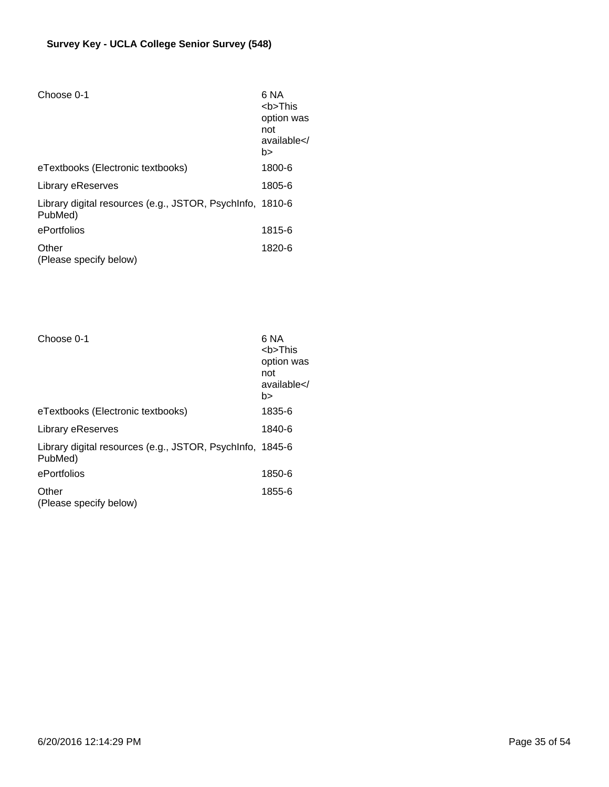| Choose 0-1                                                           | 6 NA<br>$<$ b>This<br>option was<br>not<br>available <br b> |
|----------------------------------------------------------------------|-------------------------------------------------------------|
| eTextbooks (Electronic textbooks)                                    | 1800-6                                                      |
| Library eReserves                                                    | 1805-6                                                      |
| Library digital resources (e.g., JSTOR, PsychInfo, 1810-6<br>PubMed) |                                                             |
| ePortfolios                                                          | 1815-6                                                      |
| Other<br>(Please specify below)                                      | 1820-6                                                      |

| Choose 0-1                                                           | 6 NA<br><b>This<br/>option was<br/>not<br/>available<!--<br-->b&gt;</b> |
|----------------------------------------------------------------------|-------------------------------------------------------------------------|
| eTextbooks (Electronic textbooks)                                    | 1835-6                                                                  |
| Library eReserves                                                    | 1840-6                                                                  |
| Library digital resources (e.g., JSTOR, PsychInfo, 1845-6<br>PubMed) |                                                                         |
| ePortfolios                                                          | 1850-6                                                                  |
| Other<br>(Please specify below)                                      | 1855-6                                                                  |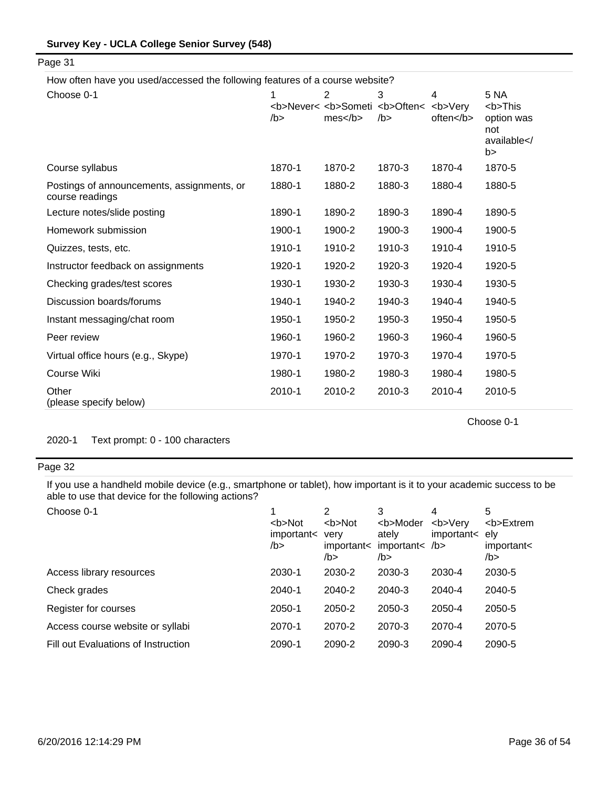| How often have you used/accessed the following features of a course website? |        |                                                                      |             |                                                                                              |                                                                         |
|------------------------------------------------------------------------------|--------|----------------------------------------------------------------------|-------------|----------------------------------------------------------------------------------------------|-------------------------------------------------------------------------|
| Choose 0-1                                                                   | $/b$ > | <b>Never&lt; <b>Someti <b>Often&lt; <b>Very<br/>mes </b></b></b></b> | 3<br>$/b$ > | 4<br>often <td>5 NA<br/><b>This<br/>option was<br/>not<br/>available<!--<br-->b&gt;</b></td> | 5 NA<br><b>This<br/>option was<br/>not<br/>available<!--<br-->b&gt;</b> |
| Course syllabus                                                              | 1870-1 | 1870-2                                                               | 1870-3      | 1870-4                                                                                       | 1870-5                                                                  |
| Postings of announcements, assignments, or<br>course readings                | 1880-1 | 1880-2                                                               | 1880-3      | 1880-4                                                                                       | 1880-5                                                                  |
| Lecture notes/slide posting                                                  | 1890-1 | 1890-2                                                               | 1890-3      | 1890-4                                                                                       | 1890-5                                                                  |
| Homework submission                                                          | 1900-1 | 1900-2                                                               | 1900-3      | 1900-4                                                                                       | 1900-5                                                                  |
| Quizzes, tests, etc.                                                         | 1910-1 | 1910-2                                                               | 1910-3      | 1910-4                                                                                       | 1910-5                                                                  |
| Instructor feedback on assignments                                           | 1920-1 | 1920-2                                                               | 1920-3      | 1920-4                                                                                       | 1920-5                                                                  |
| Checking grades/test scores                                                  | 1930-1 | 1930-2                                                               | 1930-3      | 1930-4                                                                                       | 1930-5                                                                  |
| Discussion boards/forums                                                     | 1940-1 | 1940-2                                                               | 1940-3      | 1940-4                                                                                       | 1940-5                                                                  |
| Instant messaging/chat room                                                  | 1950-1 | 1950-2                                                               | 1950-3      | 1950-4                                                                                       | 1950-5                                                                  |
| Peer review                                                                  | 1960-1 | 1960-2                                                               | 1960-3      | 1960-4                                                                                       | 1960-5                                                                  |
| Virtual office hours (e.g., Skype)                                           | 1970-1 | 1970-2                                                               | 1970-3      | 1970-4                                                                                       | 1970-5                                                                  |
| Course Wiki                                                                  | 1980-1 | 1980-2                                                               | 1980-3      | 1980-4                                                                                       | 1980-5                                                                  |
| Other<br>(please specify below)                                              | 2010-1 | 2010-2                                                               | 2010-3      | 2010-4                                                                                       | 2010-5                                                                  |

Choose 0-1

2020-1 Text prompt: 0 - 100 characters

# Page 32

Page 31

If you use a handheld mobile device (e.g., smartphone or tablet), how important is it to your academic success to be able to use that device for the following actions?

| Choose 0-1                          | <b>Not<br/>important&lt;<br/>/b</b> | 2<br><b>Not<br/>verv<br/>important&lt;<br/>/b&gt;</b> | 3<br><b>Moder<br/>ately<br/>important<math>&lt;</math> /b&gt;<br/>/b&gt;</b> | 4<br><b>Verv<br/>important&lt;</b> | 5<br><b>Extrem<br/>elv<br/>important&lt;<br/>/b&gt;</b> |
|-------------------------------------|-------------------------------------|-------------------------------------------------------|------------------------------------------------------------------------------|------------------------------------|---------------------------------------------------------|
| Access library resources            | 2030-1                              | 2030-2                                                | 2030-3                                                                       | 2030-4                             | 2030-5                                                  |
| Check grades                        | $2040 - 1$                          | 2040-2                                                | 2040-3                                                                       | 2040-4                             | 2040-5                                                  |
| Register for courses                | 2050-1                              | 2050-2                                                | 2050-3                                                                       | 2050-4                             | 2050-5                                                  |
| Access course website or syllabi    | 2070-1                              | 2070-2                                                | 2070-3                                                                       | 2070-4                             | 2070-5                                                  |
| Fill out Evaluations of Instruction | 2090-1                              | 2090-2                                                | 2090-3                                                                       | 2090-4                             | 2090-5                                                  |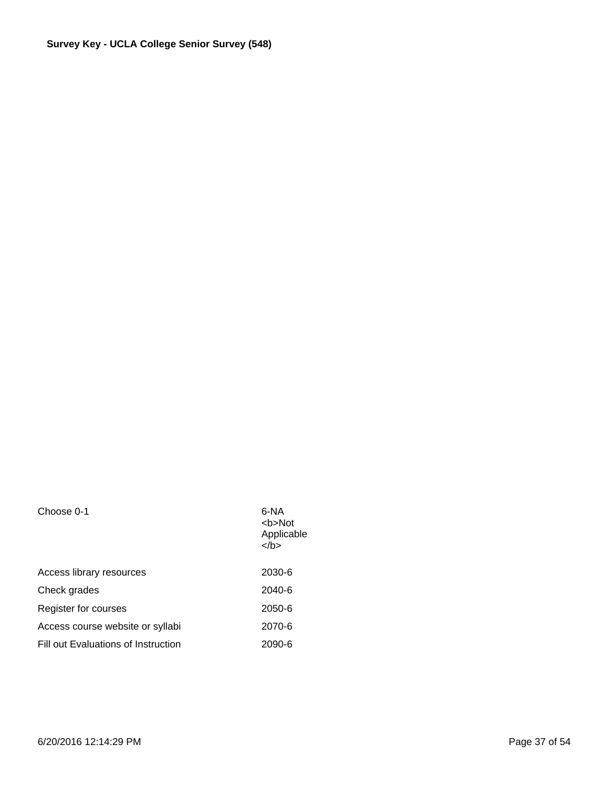| 6-NA<br><br><b>bb</b> > Not<br>Applicable<br>> |
|------------------------------------------------|
| 2030-6                                         |
| 2040-6                                         |
| 2050-6                                         |
| 2070-6                                         |
| 2090-6                                         |
|                                                |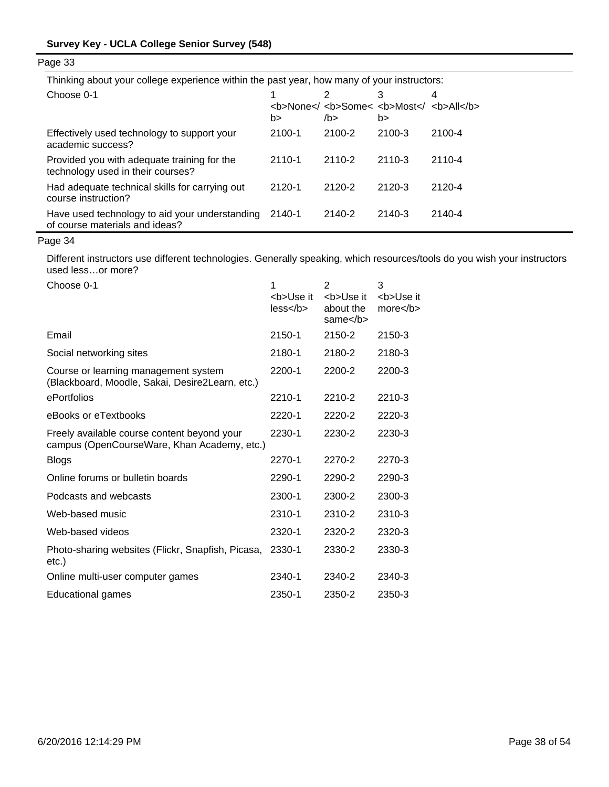Thinking about your college experience within the past year, how many of your instructors:

| Choose 0-1                                                                       | b>         | 2<br><b>None<!-- <b-->Some&lt; <b>Most<!-- <b-->All</b><br/>/b &gt;</b> | 3<br>b> | 4          |
|----------------------------------------------------------------------------------|------------|-------------------------------------------------------------------------|---------|------------|
| Effectively used technology to support your<br>academic success?                 | 2100-1     | 2100-2                                                                  | 2100-3  | 2100-4     |
| Provided you with adequate training for the<br>technology used in their courses? | $2110 - 1$ | 2110-2                                                                  | 2110-3  | $2110 - 4$ |
| Had adequate technical skills for carrying out<br>course instruction?            | 2120-1     | 2120-2                                                                  | 2120-3  | 2120-4     |
| Have used technology to aid your understanding<br>of course materials and ideas? | 2140-1     | 2140-2                                                                  | 2140-3  | 2140-4     |

Page 34

Different instructors use different technologies. Generally speaking, which resources/tools do you wish your instructors used less…or more?

| Choose 0-1                                                                                 | 1                       | 2                                                                        | 3                       |
|--------------------------------------------------------------------------------------------|-------------------------|--------------------------------------------------------------------------|-------------------------|
|                                                                                            | <b>Use it<br/>less </b> | <b>Use it<br/>about the<br/>same<math>&lt;</math>/b<math>&gt;</math></b> | <b>Use it<br/>more </b> |
| Email                                                                                      | 2150-1                  | 2150-2                                                                   | 2150-3                  |
| Social networking sites                                                                    | 2180-1                  | 2180-2                                                                   | 2180-3                  |
| Course or learning management system<br>(Blackboard, Moodle, Sakai, Desire2Learn, etc.)    | 2200-1                  | 2200-2                                                                   | 2200-3                  |
| ePortfolios                                                                                | 2210-1                  | 2210-2                                                                   | 2210-3                  |
| eBooks or eTextbooks                                                                       | 2220-1                  | 2220-2                                                                   | 2220-3                  |
| Freely available course content beyond your<br>campus (OpenCourseWare, Khan Academy, etc.) | 2230-1                  | 2230-2                                                                   | 2230-3                  |
| <b>Blogs</b>                                                                               | 2270-1                  | 2270-2                                                                   | 2270-3                  |
| Online forums or bulletin boards                                                           | 2290-1                  | 2290-2                                                                   | 2290-3                  |
| Podcasts and webcasts                                                                      | 2300-1                  | 2300-2                                                                   | 2300-3                  |
| Web-based music                                                                            | 2310-1                  | 2310-2                                                                   | 2310-3                  |
| Web-based videos                                                                           | 2320-1                  | 2320-2                                                                   | 2320-3                  |
| Photo-sharing websites (Flickr, Snapfish, Picasa,<br>$etc.$ )                              | 2330-1                  | 2330-2                                                                   | 2330-3                  |
| Online multi-user computer games                                                           | 2340-1                  | 2340-2                                                                   | 2340-3                  |
| <b>Educational games</b>                                                                   | 2350-1                  | 2350-2                                                                   | 2350-3                  |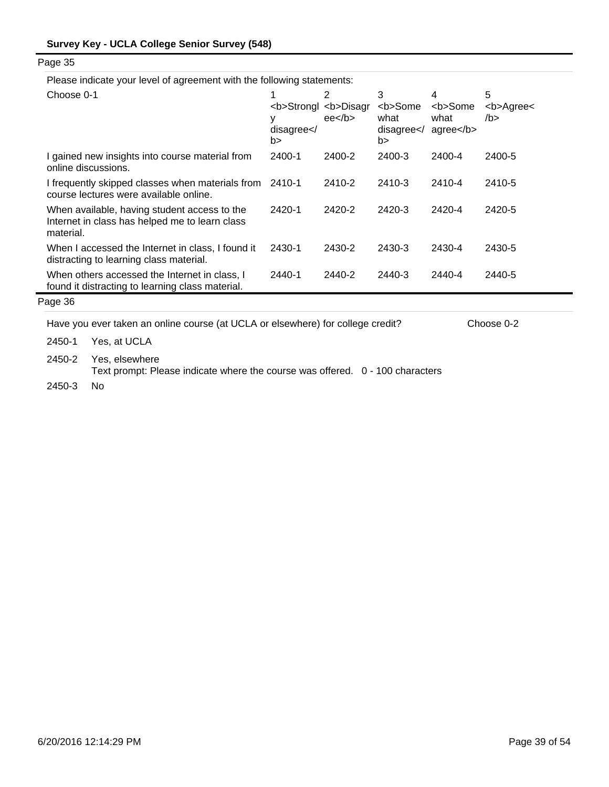| Page 35 |  |
|---------|--|
|---------|--|

Please indicate your level of agreement with the following statements:

| Choose 0-1                                                                                                  | disagree < /<br>b> | 2<br><b>Strongl <b>Disagr<br/>ee<sub>2</sub></b></b> | 3<br><b>Some<br/>what<br/>disagree &lt; /<br/>b&gt;</b> | 4<br><b>Some<br/>what<br/><math>ag</math>ree<math>&lt;</math>/b<math>&gt;</math></b> | 5<br><b>Agree&lt;<br/>/b &gt;</b> |
|-------------------------------------------------------------------------------------------------------------|--------------------|------------------------------------------------------|---------------------------------------------------------|--------------------------------------------------------------------------------------|-----------------------------------|
| I gained new insights into course material from<br>online discussions.                                      | 2400-1             | 2400-2                                               | 2400-3                                                  | 2400-4                                                                               | 2400-5                            |
| I frequently skipped classes when materials from<br>course lectures were available online.                  | 2410-1             | 2410-2                                               | 2410-3                                                  | 2410-4                                                                               | 2410-5                            |
| When available, having student access to the<br>Internet in class has helped me to learn class<br>material. | 2420-1             | 2420-2                                               | 2420-3                                                  | 2420-4                                                                               | 2420-5                            |
| When I accessed the Internet in class, I found it<br>distracting to learning class material.                | 2430-1             | 2430-2                                               | 2430-3                                                  | 2430-4                                                                               | 2430-5                            |
| When others accessed the Internet in class. I<br>found it distracting to learning class material.           | 2440-1             | 2440-2                                               | 2440-3                                                  | 2440-4                                                                               | 2440-5                            |
| $- - - - -$                                                                                                 |                    |                                                      |                                                         |                                                                                      |                                   |

# Page 36

Have you ever taken an online course (at UCLA or elsewhere) for college credit? Choose 0-2

2450-1 Yes, at UCLA

2450-3 No 2450-2 Yes, elsewhere Text prompt: Please indicate where the course was offered. 0 - 100 characters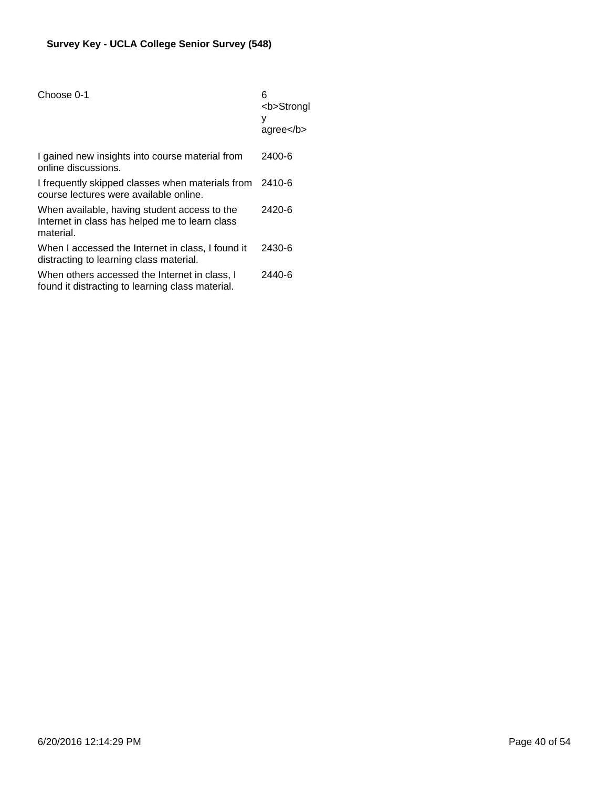| Choose 0-1                                                                                                  | 6<br><b>Strongl<br/>у<br/><math>a</math>gree<math>&lt;</math>/b<math>&gt;</math></b> |
|-------------------------------------------------------------------------------------------------------------|--------------------------------------------------------------------------------------|
| I gained new insights into course material from<br>online discussions.                                      | 2400-6                                                                               |
| I frequently skipped classes when materials from 2410-6<br>course lectures were available online.           |                                                                                      |
| When available, having student access to the<br>Internet in class has helped me to learn class<br>material. | 2420-6                                                                               |
| When I accessed the Internet in class, I found it<br>distracting to learning class material.                | 2430-6                                                                               |
| When others accessed the Internet in class, I<br>found it distracting to learning class material.           | 2440-6                                                                               |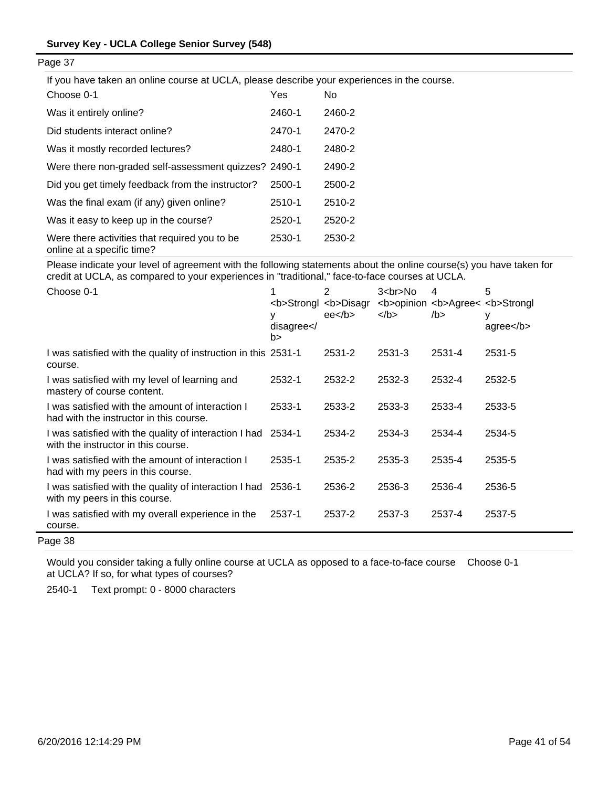If you have taken an online course at UCLA, please describe your experiences in the course.

| Choose 0-1                                                                  | Yes    | No     |
|-----------------------------------------------------------------------------|--------|--------|
| Was it entirely online?                                                     | 2460-1 | 2460-2 |
| Did students interact online?                                               | 2470-1 | 2470-2 |
| Was it mostly recorded lectures?                                            | 2480-1 | 2480-2 |
| Were there non-graded self-assessment quizzes? 2490-1                       |        | 2490-2 |
| Did you get timely feedback from the instructor?                            | 2500-1 | 2500-2 |
| Was the final exam (if any) given online?                                   | 2510-1 | 2510-2 |
| Was it easy to keep up in the course?                                       | 2520-1 | 2520-2 |
| Were there activities that required you to be<br>online at a specific time? | 2530-1 | 2530-2 |

Please indicate your level of agreement with the following statements about the online course(s) you have taken for credit at UCLA, as compared to your experiences in "traditional," face-to-face courses at UCLA.

| Choose 0-1                                                                                    | <b>Strongl <b>Disagr<br/>у<br/>disagree &lt; /<br/>b&gt;</b></b> | 2<br>ee <sub>2</sub> | $3 < b$ r>No<br>$<$ /b $>$ | 4<br><b>opinion <b>Agree&lt; <b>Strongl<br/>/b &gt;</b></b></b> | 5<br>у<br>$agree <$ /b> |
|-----------------------------------------------------------------------------------------------|------------------------------------------------------------------|----------------------|----------------------------|-----------------------------------------------------------------|-------------------------|
| I was satisfied with the quality of instruction in this 2531-1<br>course.                     |                                                                  | 2531-2               | 2531-3                     | 2531-4                                                          | 2531-5                  |
| I was satisfied with my level of learning and<br>mastery of course content.                   | 2532-1                                                           | 2532-2               | 2532-3                     | 2532-4                                                          | 2532-5                  |
| I was satisfied with the amount of interaction I<br>had with the instructor in this course.   | 2533-1                                                           | 2533-2               | 2533-3                     | 2533-4                                                          | 2533-5                  |
| I was satisfied with the quality of interaction I had<br>with the instructor in this course.  | 2534-1                                                           | 2534-2               | 2534-3                     | 2534-4                                                          | 2534-5                  |
| I was satisfied with the amount of interaction I<br>had with my peers in this course.         | 2535-1                                                           | 2535-2               | 2535-3                     | 2535-4                                                          | 2535-5                  |
| I was satisfied with the quality of interaction I had 2536-1<br>with my peers in this course. |                                                                  | 2536-2               | 2536-3                     | 2536-4                                                          | 2536-5                  |
| I was satisfied with my overall experience in the<br>course.                                  | 2537-1                                                           | 2537-2               | 2537-3                     | 2537-4                                                          | 2537-5                  |

Page 38

Would you consider taking a fully online course at UCLA as opposed to a face-to-face course Choose 0-1at UCLA? If so, for what types of courses?

2540-1 Text prompt: 0 - 8000 characters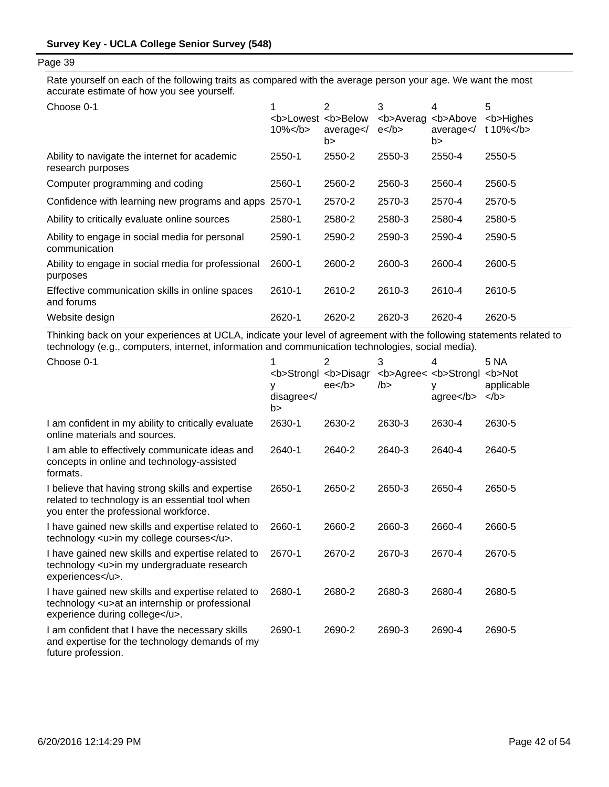Rate yourself on each of the following traits as compared with the average person your age. We want the most accurate estimate of how you see yourself.

| Choose 0-1                                                         | <b>Lowest <b>Below<br/><math>10\%</math> </b></b> | 2<br>average<br>b> | 3<br><b>Averag<br/><math>e</math> </b> | 4<br><b>Above<br/>average<br/>b&gt;</b> | 5<br><b>Highes<br/>t 10%<math>&lt;</math>/b<math>&gt;</math></b> |
|--------------------------------------------------------------------|---------------------------------------------------|--------------------|----------------------------------------|-----------------------------------------|------------------------------------------------------------------|
| Ability to navigate the internet for academic<br>research purposes | 2550-1                                            | 2550-2             | 2550-3                                 | 2550-4                                  | 2550-5                                                           |
| Computer programming and coding                                    | 2560-1                                            | 2560-2             | 2560-3                                 | 2560-4                                  | 2560-5                                                           |
| Confidence with learning new programs and apps                     | 2570-1                                            | 2570-2             | 2570-3                                 | 2570-4                                  | 2570-5                                                           |
| Ability to critically evaluate online sources                      | 2580-1                                            | 2580-2             | 2580-3                                 | 2580-4                                  | 2580-5                                                           |
| Ability to engage in social media for personal<br>communication    | 2590-1                                            | 2590-2             | 2590-3                                 | 2590-4                                  | 2590-5                                                           |
| Ability to engage in social media for professional<br>purposes     | 2600-1                                            | 2600-2             | 2600-3                                 | 2600-4                                  | 2600-5                                                           |
| Effective communication skills in online spaces<br>and forums      | 2610-1                                            | 2610-2             | 2610-3                                 | 2610-4                                  | 2610-5                                                           |
| Website design                                                     | 2620-1                                            | 2620-2             | 2620-3                                 | 2620-4                                  | 2620-5                                                           |

Thinking back on your experiences at UCLA, indicate your level of agreement with the following statements related to technology (e.g., computers, internet, information and communication technologies, social media).

| Choose 0-1                                                                                                                                    | <b>Strongl <b>Disagr<br/>٧<br/>disagree<!--<br-->b&gt;</b></b> | 2<br>ee <sub>2</sub> | 3<br>/b > | 4<br><b>Agree&lt; <b>Strongl<br/>agree</b></b> | 5 NA<br><b>Not<br/>applicable<br/><math>&lt;</math>/b&gt;</b> |
|-----------------------------------------------------------------------------------------------------------------------------------------------|----------------------------------------------------------------|----------------------|-----------|------------------------------------------------|---------------------------------------------------------------|
| I am confident in my ability to critically evaluate<br>online materials and sources.                                                          | 2630-1                                                         | 2630-2               | 2630-3    | 2630-4                                         | 2630-5                                                        |
| I am able to effectively communicate ideas and<br>concepts in online and technology-assisted<br>formats.                                      | 2640-1                                                         | 2640-2               | 2640-3    | 2640-4                                         | 2640-5                                                        |
| I believe that having strong skills and expertise<br>related to technology is an essential tool when<br>you enter the professional workforce. | 2650-1                                                         | 2650-2               | 2650-3    | 2650-4                                         | 2650-5                                                        |
| I have gained new skills and expertise related to<br>technology <u>in my college courses</u> .                                                | 2660-1                                                         | 2660-2               | 2660-3    | 2660-4                                         | 2660-5                                                        |
| I have gained new skills and expertise related to<br>technology <u>in my undergraduate research<br/>experiences</u> .                         | 2670-1                                                         | 2670-2               | 2670-3    | 2670-4                                         | 2670-5                                                        |
| I have gained new skills and expertise related to<br>technology <u>at an internship or professional<br/>experience during college</u> .       | 2680-1                                                         | 2680-2               | 2680-3    | 2680-4                                         | 2680-5                                                        |
| I am confident that I have the necessary skills<br>and expertise for the technology demands of my<br>future profession.                       | 2690-1                                                         | 2690-2               | 2690-3    | 2690-4                                         | 2690-5                                                        |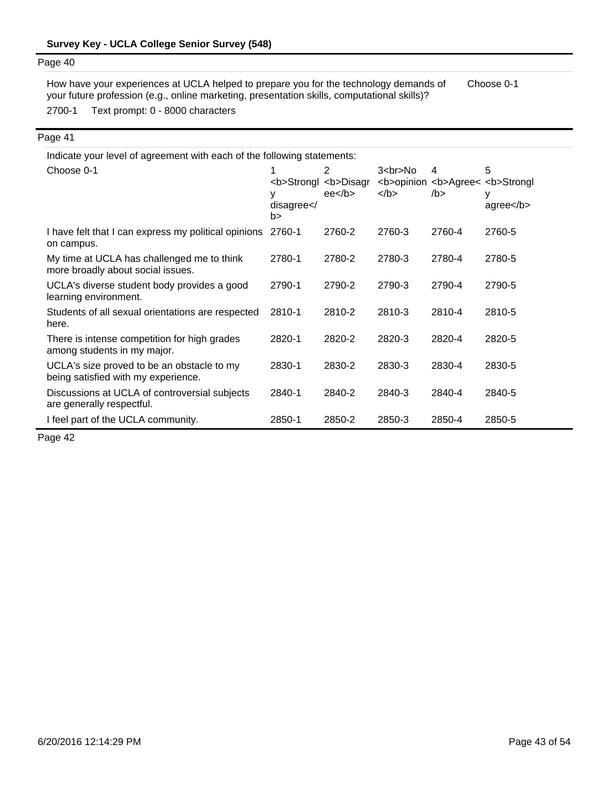2700-1 Text prompt: 0 - 8000 characters How have your experiences at UCLA helped to prepare you for the technology demands of your future profession (e.g., online marketing, presentation skills, computational skills)? Choose 0-1

#### Page 41

| Indicate your level of agreement with each of the following statements:           |                      |                                                      |                      |           |                                                                     |  |  |
|-----------------------------------------------------------------------------------|----------------------|------------------------------------------------------|----------------------|-----------|---------------------------------------------------------------------|--|--|
| Choose 0-1                                                                        | ٧<br>disagree <br b> | 2<br><b>Strongl <b>Disagr<br/>ee<sub>2</sub></b></b> | $3$<br>No<br>$<$ /b> | 4<br>/b > | 5<br><b>opinion <b>Agree&lt; <b>Strongl<br/>у<br/>agree</b></b></b> |  |  |
| I have felt that I can express my political opinions<br>on campus.                | 2760-1               | 2760-2                                               | 2760-3               | 2760-4    | 2760-5                                                              |  |  |
| My time at UCLA has challenged me to think<br>more broadly about social issues.   | 2780-1               | 2780-2                                               | 2780-3               | 2780-4    | 2780-5                                                              |  |  |
| UCLA's diverse student body provides a good<br>learning environment.              | 2790-1               | 2790-2                                               | 2790-3               | 2790-4    | 2790-5                                                              |  |  |
| Students of all sexual orientations are respected<br>here.                        | 2810-1               | 2810-2                                               | 2810-3               | 2810-4    | 2810-5                                                              |  |  |
| There is intense competition for high grades<br>among students in my major.       | 2820-1               | 2820-2                                               | 2820-3               | 2820-4    | 2820-5                                                              |  |  |
| UCLA's size proved to be an obstacle to my<br>being satisfied with my experience. | 2830-1               | 2830-2                                               | 2830-3               | 2830-4    | 2830-5                                                              |  |  |
| Discussions at UCLA of controversial subjects<br>are generally respectful.        | 2840-1               | 2840-2                                               | 2840-3               | 2840-4    | 2840-5                                                              |  |  |
| I feel part of the UCLA community.                                                | 2850-1               | 2850-2                                               | 2850-3               | 2850-4    | 2850-5                                                              |  |  |

Page 42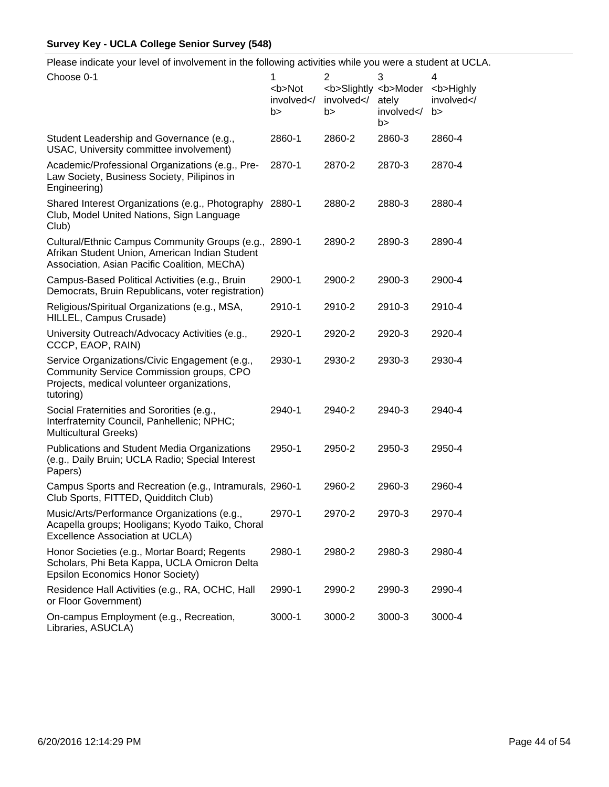Please indicate your level of involvement in the following activities while you were a student at UCLA.

| Choose 0-1                                                                                                                                              | 1<br><b>Not<br/>involved<!--<br-->b&gt;</b> | $\overline{2}$<br>involved <br b> | 3<br><b>Slightly <b>Moder<br/>ately<br/>involved<!--<br-->b&gt;</b></b> | 4<br><b>Highly<br/>involved<!--<br-->b&gt;</b> |
|---------------------------------------------------------------------------------------------------------------------------------------------------------|---------------------------------------------|-----------------------------------|-------------------------------------------------------------------------|------------------------------------------------|
| Student Leadership and Governance (e.g.,<br>USAC, University committee involvement)                                                                     | 2860-1                                      | 2860-2                            | 2860-3                                                                  | 2860-4                                         |
| Academic/Professional Organizations (e.g., Pre-<br>Law Society, Business Society, Pilipinos in<br>Engineering)                                          | 2870-1                                      | 2870-2                            | 2870-3                                                                  | 2870-4                                         |
| Shared Interest Organizations (e.g., Photography 2880-1<br>Club, Model United Nations, Sign Language<br>Club)                                           |                                             | 2880-2                            | 2880-3                                                                  | 2880-4                                         |
| Cultural/Ethnic Campus Community Groups (e.g., 2890-1<br>Afrikan Student Union, American Indian Student<br>Association, Asian Pacific Coalition, MEChA) |                                             | 2890-2                            | 2890-3                                                                  | 2890-4                                         |
| Campus-Based Political Activities (e.g., Bruin<br>Democrats, Bruin Republicans, voter registration)                                                     | 2900-1                                      | 2900-2                            | 2900-3                                                                  | 2900-4                                         |
| Religious/Spiritual Organizations (e.g., MSA,<br>HILLEL, Campus Crusade)                                                                                | 2910-1                                      | 2910-2                            | 2910-3                                                                  | 2910-4                                         |
| University Outreach/Advocacy Activities (e.g.,<br>CCCP, EAOP, RAIN)                                                                                     | 2920-1                                      | 2920-2                            | 2920-3                                                                  | 2920-4                                         |
| Service Organizations/Civic Engagement (e.g.,<br>Community Service Commission groups, CPO<br>Projects, medical volunteer organizations,<br>tutoring)    | 2930-1                                      | 2930-2                            | 2930-3                                                                  | 2930-4                                         |
| Social Fraternities and Sororities (e.g.,<br>Interfraternity Council, Panhellenic; NPHC;<br><b>Multicultural Greeks)</b>                                | 2940-1                                      | 2940-2                            | 2940-3                                                                  | 2940-4                                         |
| <b>Publications and Student Media Organizations</b><br>(e.g., Daily Bruin; UCLA Radio; Special Interest<br>Papers)                                      | 2950-1                                      | 2950-2                            | 2950-3                                                                  | 2950-4                                         |
| Campus Sports and Recreation (e.g., Intramurals, 2960-1<br>Club Sports, FITTED, Quidditch Club)                                                         |                                             | 2960-2                            | 2960-3                                                                  | 2960-4                                         |
| Music/Arts/Performance Organizations (e.g.,<br>Acapella groups; Hooligans; Kyodo Taiko, Choral<br>Excellence Association at UCLA)                       | 2970-1                                      | 2970-2                            | 2970-3                                                                  | 2970-4                                         |
| Honor Societies (e.g., Mortar Board; Regents<br>Scholars, Phi Beta Kappa, UCLA Omicron Delta<br><b>Epsilon Economics Honor Society)</b>                 | 2980-1                                      | 2980-2                            | 2980-3                                                                  | 2980-4                                         |
| Residence Hall Activities (e.g., RA, OCHC, Hall<br>or Floor Government)                                                                                 | 2990-1                                      | 2990-2                            | 2990-3                                                                  | 2990-4                                         |
| On-campus Employment (e.g., Recreation,<br>Libraries, ASUCLA)                                                                                           | 3000-1                                      | 3000-2                            | 3000-3                                                                  | 3000-4                                         |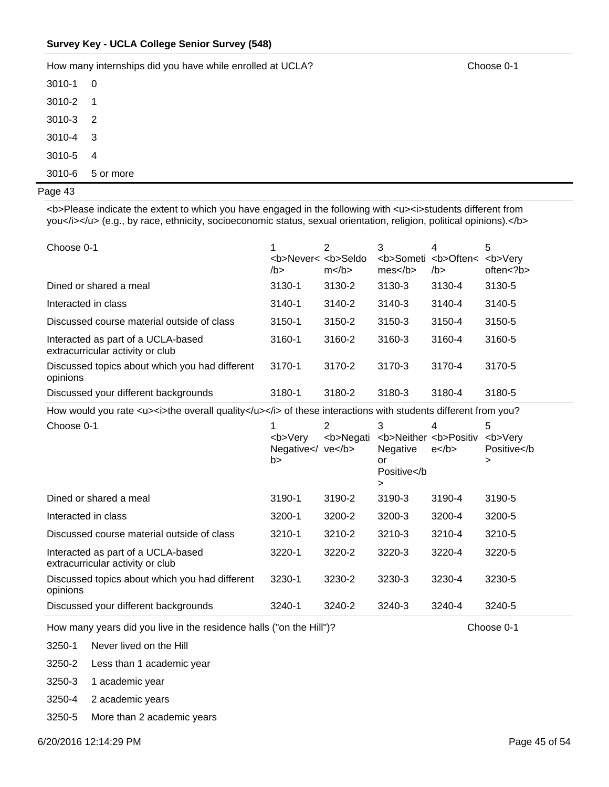How many internships did you have while enrolled at UCLA? Choose 0-1

| 3010-1     | O         |
|------------|-----------|
| 3010-2     | 1         |
| 3010-3     | 2         |
| $3010 - 4$ | 3         |
| 3010-5     | 4         |
| 3010-6     | 5 or more |

### Page 43

<b>Please indicate the extent to which you have engaged in the following with <u><i>students different from you</i></u> (e.g., by race, ethnicity, socioeconomic status, sexual orientation, religion, political opinions).</b>

| Choose 0-1                                                             | <b>Never&lt; <b>Seldo</b><br/>/b&gt;</b> | $m$    | 3<br>mes | 4<br><b>Someti <b>Often&lt;<br/><math>/b</math>&gt;</b></b> | 5<br><b>Verv<br/>often &lt; ?b&gt;</b> |
|------------------------------------------------------------------------|------------------------------------------|--------|----------|-------------------------------------------------------------|----------------------------------------|
| Dined or shared a meal                                                 | 3130-1                                   | 3130-2 | 3130-3   | 3130-4                                                      | 3130-5                                 |
| Interacted in class                                                    | $3140 - 1$                               | 3140-2 | 3140-3   | 3140-4                                                      | 3140-5                                 |
| Discussed course material outside of class                             | 3150-1                                   | 3150-2 | 3150-3   | 3150-4                                                      | 3150-5                                 |
| Interacted as part of a UCLA-based<br>extracurricular activity or club | 3160-1                                   | 3160-2 | 3160-3   | 3160-4                                                      | 3160-5                                 |
| Discussed topics about which you had different<br>opinions             | 3170-1                                   | 3170-2 | 3170-3   | 3170-4                                                      | 3170-5                                 |
| Discussed your different backgrounds                                   | 3180-1                                   | 3180-2 | 3180-3   | 3180-4                                                      | 3180-5                                 |

How would you rate <u><i>the overall quality</u></i><i>>> of these interactions with students different from you?

| Choose 0-1                                                             | <b>Very<br/>Negative<math>\lt</math>/<br/>b&gt;</b> | 2<br><b>Negati<br/>ve</b> | 3<br><b>Neither <b>Positiv<br/>Negative<br/>or<br/>Positive&gt;</b></b> | 4<br>$e$ | 5<br><b>Very<br/>Positive&gt;</b> |
|------------------------------------------------------------------------|-----------------------------------------------------|---------------------------|-------------------------------------------------------------------------|----------|-----------------------------------|
| Dined or shared a meal                                                 | 3190-1                                              | 3190-2                    | 3190-3                                                                  | 3190-4   | 3190-5                            |
| Interacted in class                                                    | 3200-1                                              | 3200-2                    | 3200-3                                                                  | 3200-4   | 3200-5                            |
| Discussed course material outside of class                             | 3210-1                                              | 3210-2                    | 3210-3                                                                  | 3210-4   | 3210-5                            |
| Interacted as part of a UCLA-based<br>extracurricular activity or club | 3220-1                                              | 3220-2                    | 3220-3                                                                  | 3220-4   | 3220-5                            |
| Discussed topics about which you had different<br>opinions             | 3230-1                                              | 3230-2                    | 3230-3                                                                  | 3230-4   | 3230-5                            |
| Discussed your different backgrounds                                   | 3240-1                                              | 3240-2                    | 3240-3                                                                  | 3240-4   | 3240-5                            |

How many years did you live in the residence halls ("on the Hill")? Choose 0-1

3250-1 Never lived on the Hill

3250-2 Less than 1 academic year

3250-3 1 academic year

3250-4 2 academic years

3250-5 More than 2 academic years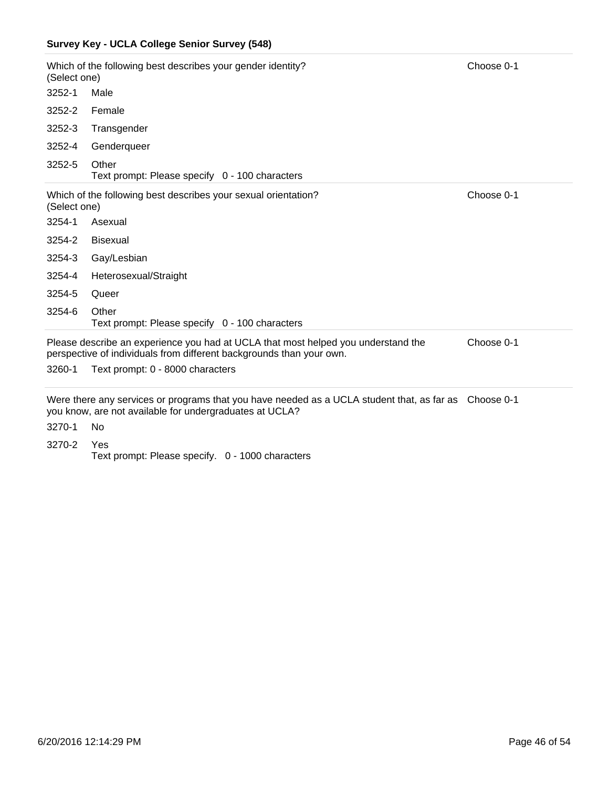| (Select one) | Which of the following best describes your gender identity?                                                                                                             | Choose 0-1 |  |  |  |
|--------------|-------------------------------------------------------------------------------------------------------------------------------------------------------------------------|------------|--|--|--|
| $3252 - 1$   | Male                                                                                                                                                                    |            |  |  |  |
| 3252-2       | Female                                                                                                                                                                  |            |  |  |  |
| 3252-3       | Transgender                                                                                                                                                             |            |  |  |  |
| 3252-4       | Genderqueer                                                                                                                                                             |            |  |  |  |
| 3252-5       | Other<br>Text prompt: Please specify 0 - 100 characters                                                                                                                 |            |  |  |  |
| (Select one) | Which of the following best describes your sexual orientation?                                                                                                          | Choose 0-1 |  |  |  |
| 3254-1       | Asexual                                                                                                                                                                 |            |  |  |  |
| 3254-2       | <b>Bisexual</b>                                                                                                                                                         |            |  |  |  |
| 3254-3       | Gay/Lesbian                                                                                                                                                             |            |  |  |  |
| 3254-4       | Heterosexual/Straight                                                                                                                                                   |            |  |  |  |
| 3254-5       | Queer                                                                                                                                                                   |            |  |  |  |
| 3254-6       | Other<br>Text prompt: Please specify 0 - 100 characters                                                                                                                 |            |  |  |  |
|              | Choose 0-1<br>Please describe an experience you had at UCLA that most helped you understand the<br>perspective of individuals from different backgrounds than your own. |            |  |  |  |

3260-1 Text prompt: 0 - 8000 characters

Were there any services or programs that you have needed as a UCLA student that, as far as Choose 0-1 you know, are not available for undergraduates at UCLA?

3270-1 No

3270-2 Yes Text prompt: Please specify. 0 - 1000 characters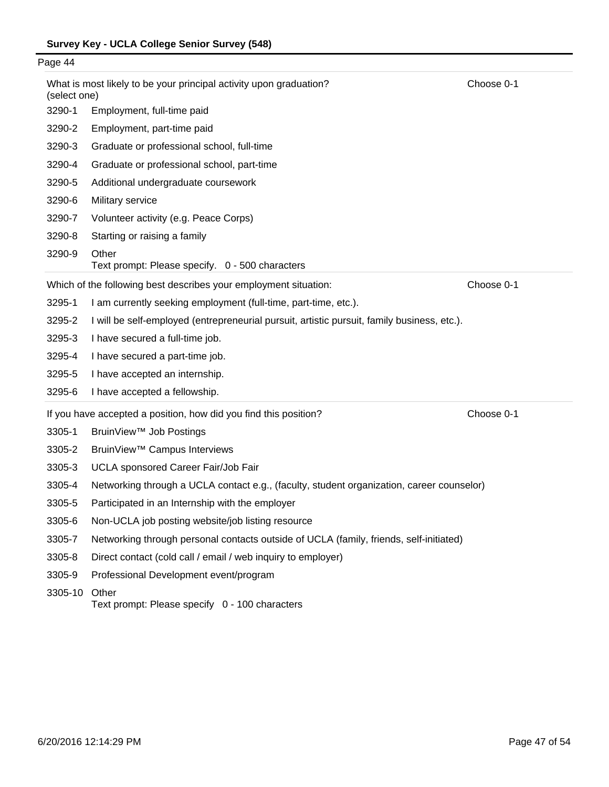| Page 44 |                                                                                                  |                                                                                             |            |  |  |  |
|---------|--------------------------------------------------------------------------------------------------|---------------------------------------------------------------------------------------------|------------|--|--|--|
|         | What is most likely to be your principal activity upon graduation?<br>Choose 0-1<br>(select one) |                                                                                             |            |  |  |  |
|         | 3290-1                                                                                           | Employment, full-time paid                                                                  |            |  |  |  |
|         | 3290-2                                                                                           | Employment, part-time paid                                                                  |            |  |  |  |
|         | 3290-3                                                                                           | Graduate or professional school, full-time                                                  |            |  |  |  |
|         | 3290-4                                                                                           | Graduate or professional school, part-time                                                  |            |  |  |  |
|         | 3290-5                                                                                           | Additional undergraduate coursework                                                         |            |  |  |  |
|         | 3290-6                                                                                           | Military service                                                                            |            |  |  |  |
|         | 3290-7                                                                                           | Volunteer activity (e.g. Peace Corps)                                                       |            |  |  |  |
|         | 3290-8                                                                                           | Starting or raising a family                                                                |            |  |  |  |
|         | 3290-9<br>Other<br>Text prompt: Please specify. 0 - 500 characters                               |                                                                                             |            |  |  |  |
|         |                                                                                                  | Which of the following best describes your employment situation:                            | Choose 0-1 |  |  |  |
|         | 3295-1                                                                                           | I am currently seeking employment (full-time, part-time, etc.).                             |            |  |  |  |
|         | 3295-2                                                                                           | I will be self-employed (entrepreneurial pursuit, artistic pursuit, family business, etc.). |            |  |  |  |
|         | 3295-3                                                                                           | I have secured a full-time job.                                                             |            |  |  |  |
|         | 3295-4                                                                                           | I have secured a part-time job.                                                             |            |  |  |  |
|         | 3295-5                                                                                           | I have accepted an internship.                                                              |            |  |  |  |
|         | 3295-6                                                                                           | I have accepted a fellowship.                                                               |            |  |  |  |
|         |                                                                                                  | If you have accepted a position, how did you find this position?                            | Choose 0-1 |  |  |  |
|         | 3305-1                                                                                           | BruinView <sup>™</sup> Job Postings                                                         |            |  |  |  |
|         | 3305-2                                                                                           | BruinView <sup>™</sup> Campus Interviews                                                    |            |  |  |  |
|         | 3305-3                                                                                           | UCLA sponsored Career Fair/Job Fair                                                         |            |  |  |  |
|         | 3305-4                                                                                           | Networking through a UCLA contact e.g., (faculty, student organization, career counselor)   |            |  |  |  |
|         | 3305-5                                                                                           | Participated in an Internship with the employer                                             |            |  |  |  |
|         | 3305-6                                                                                           | Non-UCLA job posting website/job listing resource                                           |            |  |  |  |
|         | 3305-7                                                                                           | Networking through personal contacts outside of UCLA (family, friends, self-initiated)      |            |  |  |  |
|         | 3305-8                                                                                           | Direct contact (cold call / email / web inquiry to employer)                                |            |  |  |  |
|         | 3305-9                                                                                           | Professional Development event/program                                                      |            |  |  |  |
|         |                                                                                                  |                                                                                             |            |  |  |  |

3305-10 Other Text prompt: Please specify 0 - 100 characters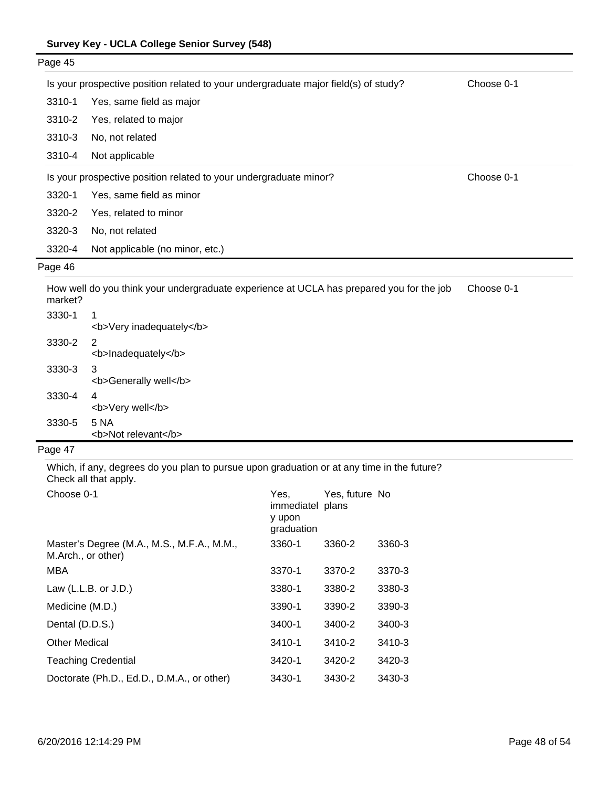| Page 45  |                                                                                          |            |
|----------|------------------------------------------------------------------------------------------|------------|
|          | Is your prospective position related to your undergraduate major field(s) of study?      | Choose 0-1 |
| 3310-1   | Yes, same field as major                                                                 |            |
| 3310-2   | Yes, related to major                                                                    |            |
| 3310-3   | No, not related                                                                          |            |
| 3310-4   | Not applicable                                                                           |            |
|          | Is your prospective position related to your undergraduate minor?                        | Choose 0-1 |
| 3320-1   | Yes, same field as minor                                                                 |            |
| 3320-2   | Yes, related to minor                                                                    |            |
| 3320-3   | No, not related                                                                          |            |
| 3320-4   | Not applicable (no minor, etc.)                                                          |            |
| Page 46  |                                                                                          |            |
| morka+0. | How well do you think your undergraduate experience at UCLA has prepared you for the job | Choose 0-1 |

| market? |                               |
|---------|-------------------------------|
| 3330-1  | 1<br><b>Very inadequately</b> |
| 3330-2  | 2<br><b>Inadequately</b>      |
| 3330-3  | 3<br><b>Generally well</b>    |
| 3330-4  | 4<br><b>Very well</b>         |
| 3330-5  | 5 NA<br><b>Not relevant</b>   |

Which, if any, degrees do you plan to pursue upon graduation or at any time in the future? Check all that apply.

| Choose 0-1                                                       | Yes.<br>immediatel plans<br>y upon<br>graduation | Yes, future No |        |
|------------------------------------------------------------------|--------------------------------------------------|----------------|--------|
| Master's Degree (M.A., M.S., M.F.A., M.M.,<br>M.Arch., or other) | 3360-1                                           | 3360-2         | 3360-3 |
| MBA                                                              | 3370-1                                           | 3370-2         | 3370-3 |
| Law $(L.L.B. or J.D.)$                                           | 3380-1                                           | 3380-2         | 3380-3 |
| Medicine (M.D.)                                                  | 3390-1                                           | 3390-2         | 3390-3 |
| Dental (D.D.S.)                                                  | 3400-1                                           | 3400-2         | 3400-3 |
| <b>Other Medical</b>                                             | 3410-1                                           | 3410-2         | 3410-3 |
| <b>Teaching Credential</b>                                       | 3420-1                                           | 3420-2         | 3420-3 |
| Doctorate (Ph.D., Ed.D., D.M.A., or other)                       | 3430-1                                           | 3430-2         | 3430-3 |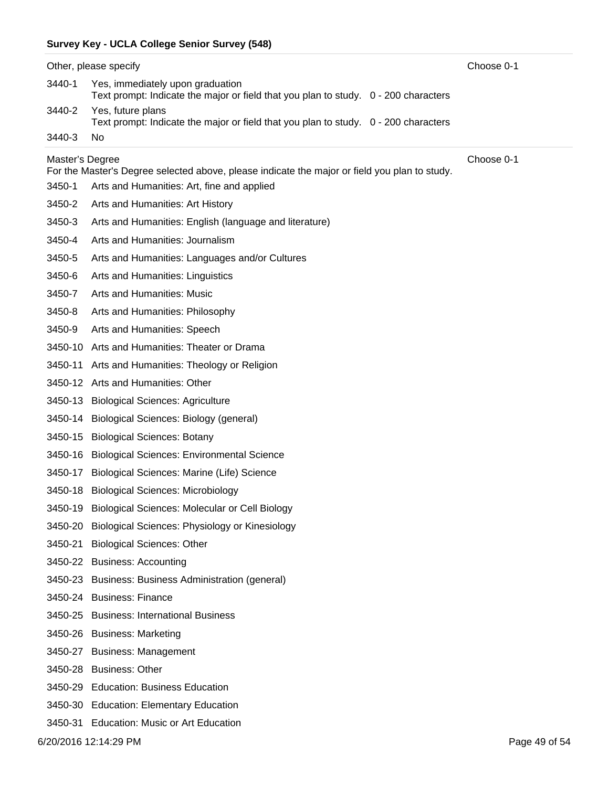| Choose 0-1<br>Other, please specify |                                                                                                                         |  |  |  |  |  |  |
|-------------------------------------|-------------------------------------------------------------------------------------------------------------------------|--|--|--|--|--|--|
| 3440-1                              | Yes, immediately upon graduation<br>Text prompt: Indicate the major or field that you plan to study. 0 - 200 characters |  |  |  |  |  |  |
| 3440-2                              | Yes, future plans<br>Text prompt: Indicate the major or field that you plan to study. 0 - 200 characters                |  |  |  |  |  |  |
| 3440-3                              | No                                                                                                                      |  |  |  |  |  |  |
| Choose 0-1<br>Master's Degree       |                                                                                                                         |  |  |  |  |  |  |
|                                     | For the Master's Degree selected above, please indicate the major or field you plan to study.                           |  |  |  |  |  |  |
| 3450-1                              | Arts and Humanities: Art, fine and applied                                                                              |  |  |  |  |  |  |
| 3450-2                              | Arts and Humanities: Art History                                                                                        |  |  |  |  |  |  |
| 3450-3                              | Arts and Humanities: English (language and literature)                                                                  |  |  |  |  |  |  |
| 3450-4                              | Arts and Humanities: Journalism                                                                                         |  |  |  |  |  |  |
| 3450-5                              | Arts and Humanities: Languages and/or Cultures                                                                          |  |  |  |  |  |  |
| 3450-6                              | Arts and Humanities: Linguistics                                                                                        |  |  |  |  |  |  |
| 3450-7                              | Arts and Humanities: Music                                                                                              |  |  |  |  |  |  |
| 3450-8                              | Arts and Humanities: Philosophy                                                                                         |  |  |  |  |  |  |
| 3450-9                              | Arts and Humanities: Speech                                                                                             |  |  |  |  |  |  |
|                                     | 3450-10 Arts and Humanities: Theater or Drama                                                                           |  |  |  |  |  |  |
| 3450-11                             | Arts and Humanities: Theology or Religion                                                                               |  |  |  |  |  |  |
|                                     | 3450-12 Arts and Humanities: Other                                                                                      |  |  |  |  |  |  |
|                                     | 3450-13 Biological Sciences: Agriculture                                                                                |  |  |  |  |  |  |
|                                     | 3450-14 Biological Sciences: Biology (general)                                                                          |  |  |  |  |  |  |
|                                     | 3450-15 Biological Sciences: Botany                                                                                     |  |  |  |  |  |  |
|                                     | 3450-16 Biological Sciences: Environmental Science                                                                      |  |  |  |  |  |  |
| 3450-17                             | Biological Sciences: Marine (Life) Science                                                                              |  |  |  |  |  |  |
|                                     | 3450-18 Biological Sciences: Microbiology                                                                               |  |  |  |  |  |  |
|                                     | 3450-19 Biological Sciences: Molecular or Cell Biology                                                                  |  |  |  |  |  |  |
| 3450-20                             | Biological Sciences: Physiology or Kinesiology                                                                          |  |  |  |  |  |  |
| 3450-21                             | <b>Biological Sciences: Other</b>                                                                                       |  |  |  |  |  |  |
|                                     | 3450-22 Business: Accounting                                                                                            |  |  |  |  |  |  |
|                                     | 3450-23 Business: Business Administration (general)                                                                     |  |  |  |  |  |  |
|                                     | 3450-24 Business: Finance                                                                                               |  |  |  |  |  |  |
|                                     | 3450-25 Business: International Business                                                                                |  |  |  |  |  |  |
|                                     | 3450-26 Business: Marketing                                                                                             |  |  |  |  |  |  |
|                                     | 3450-27 Business: Management                                                                                            |  |  |  |  |  |  |
|                                     | 3450-28 Business: Other                                                                                                 |  |  |  |  |  |  |
| 3450-29                             | <b>Education: Business Education</b>                                                                                    |  |  |  |  |  |  |
|                                     | 3450-30 Education: Elementary Education                                                                                 |  |  |  |  |  |  |
|                                     | 3450-31 Education: Music or Art Education                                                                               |  |  |  |  |  |  |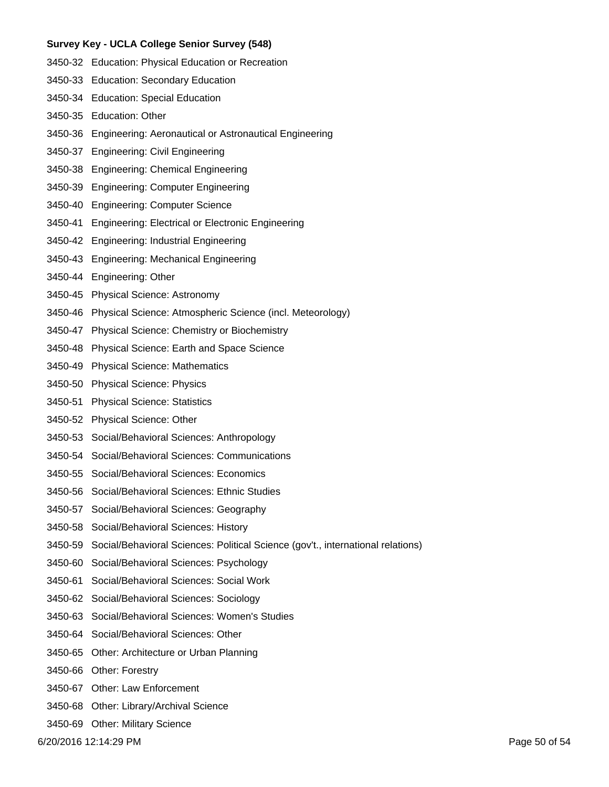- 3450-32 Education: Physical Education or Recreation
- 3450-33 Education: Secondary Education
- 3450-34 Education: Special Education
- 3450-35 Education: Other
- 3450-36 Engineering: Aeronautical or Astronautical Engineering
- 3450-37 Engineering: Civil Engineering
- 3450-38 Engineering: Chemical Engineering
- 3450-39 Engineering: Computer Engineering
- 3450-40 Engineering: Computer Science
- 3450-41 Engineering: Electrical or Electronic Engineering
- 3450-42 Engineering: Industrial Engineering
- 3450-43 Engineering: Mechanical Engineering
- 3450-44 Engineering: Other
- 3450-45 Physical Science: Astronomy
- 3450-46 Physical Science: Atmospheric Science (incl. Meteorology)
- 3450-47 Physical Science: Chemistry or Biochemistry
- 3450-48 Physical Science: Earth and Space Science
- 3450-49 Physical Science: Mathematics
- 3450-50 Physical Science: Physics
- 3450-51 Physical Science: Statistics
- 3450-52 Physical Science: Other
- 3450-53 Social/Behavioral Sciences: Anthropology
- 3450-54 Social/Behavioral Sciences: Communications
- 3450-55 Social/Behavioral Sciences: Economics
- 3450-56 Social/Behavioral Sciences: Ethnic Studies
- 3450-57 Social/Behavioral Sciences: Geography
- 3450-58 Social/Behavioral Sciences: History
- 3450-59 Social/Behavioral Sciences: Political Science (gov't., international relations)
- 3450-60 Social/Behavioral Sciences: Psychology
- 3450-61 Social/Behavioral Sciences: Social Work
- 3450-62 Social/Behavioral Sciences: Sociology
- 3450-63 Social/Behavioral Sciences: Women's Studies
- 3450-64 Social/Behavioral Sciences: Other
- 3450-65 Other: Architecture or Urban Planning
- 3450-66 Other: Forestry
- 3450-67 Other: Law Enforcement
- 3450-68 Other: Library/Archival Science
- 3450-69 Other: Military Science

6/20/2016 12:14:29 PM Page 50 of 54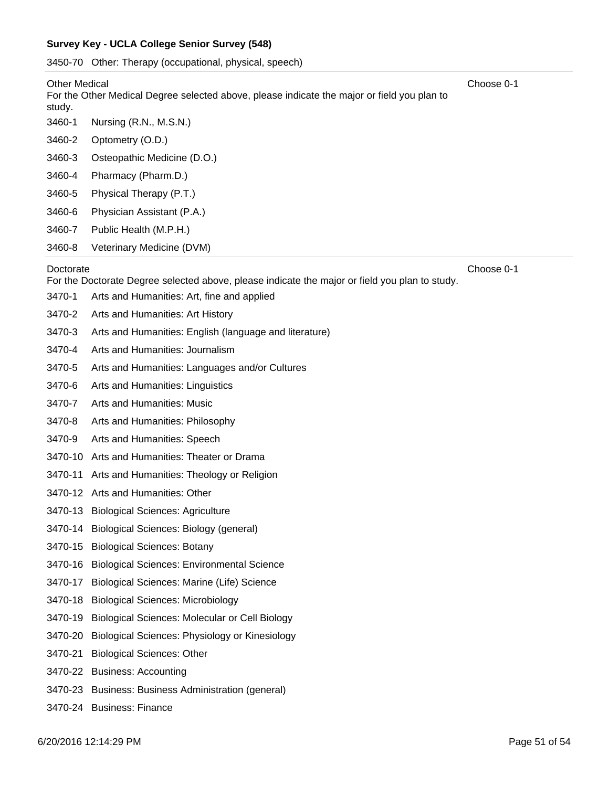3450-70 Other: Therapy (occupational, physical, speech)

#### Other Medical

3460-2 Optometry (O.D.) 3460-1 Nursing (R.N., M.S.N.) For the Other Medical Degree selected above, please indicate the major or field you plan to study.

- 3460-3 Osteopathic Medicine (D.O.)
- 3460-4 Pharmacy (Pharm.D.)
- 3460-5 Physical Therapy (P.T.)
- 3460-6 Physician Assistant (P.A.)
- 3460-7 Public Health (M.P.H.)
- 3460-8 Veterinary Medicine (DVM)

#### Doctorate

For the Doctorate Degree selected above, please indicate the major or field you plan to study.

- 3470-1 Arts and Humanities: Art, fine and applied
- 3470-2 Arts and Humanities: Art History
- 3470-3 Arts and Humanities: English (language and literature)
- 3470-4 Arts and Humanities: Journalism
- 3470-5 Arts and Humanities: Languages and/or Cultures
- 3470-6 Arts and Humanities: Linguistics
- 3470-7 Arts and Humanities: Music
- 3470-8 Arts and Humanities: Philosophy
- 3470-9 Arts and Humanities: Speech
- 3470-10 Arts and Humanities: Theater or Drama
- 3470-11 Arts and Humanities: Theology or Religion
- 3470-12 Arts and Humanities: Other
- 3470-13 Biological Sciences: Agriculture
- 3470-14 Biological Sciences: Biology (general)
- 3470-15 Biological Sciences: Botany
- 3470-16 Biological Sciences: Environmental Science
- 3470-17 Biological Sciences: Marine (Life) Science
- 3470-18 Biological Sciences: Microbiology
- 3470-19 Biological Sciences: Molecular or Cell Biology
- 3470-20 Biological Sciences: Physiology or Kinesiology
- 3470-21 Biological Sciences: Other
- 3470-22 Business: Accounting
- 3470-23 Business: Business Administration (general)
- 3470-24 Business: Finance

Choose 0-1

Choose 0-1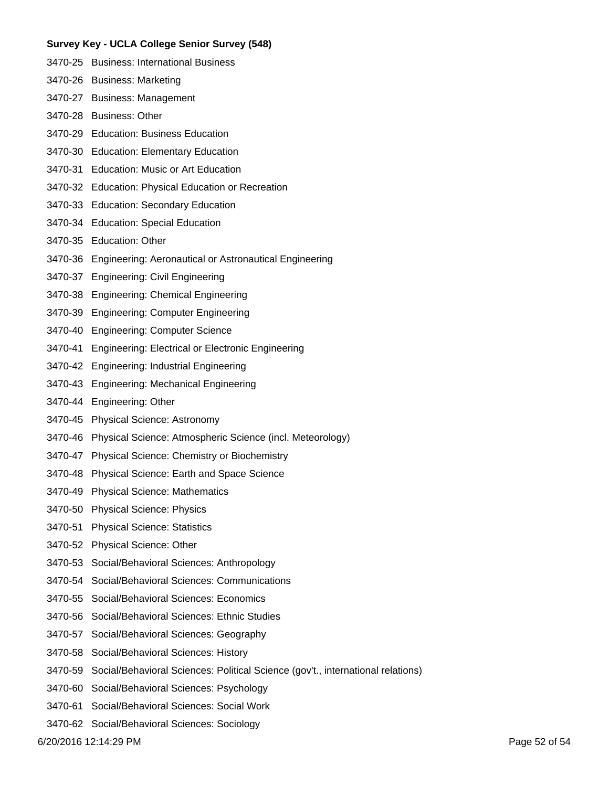- 3470-25 Business: International Business
- 3470-26 Business: Marketing
- 3470-27 Business: Management
- 3470-28 Business: Other
- 3470-29 Education: Business Education
- 3470-30 Education: Elementary Education
- 3470-31 Education: Music or Art Education
- 3470-32 Education: Physical Education or Recreation
- 3470-33 Education: Secondary Education
- 3470-34 Education: Special Education
- 3470-35 Education: Other
- 3470-36 Engineering: Aeronautical or Astronautical Engineering
- 3470-37 Engineering: Civil Engineering
- 3470-38 Engineering: Chemical Engineering
- 3470-39 Engineering: Computer Engineering
- 3470-40 Engineering: Computer Science
- 3470-41 Engineering: Electrical or Electronic Engineering
- 3470-42 Engineering: Industrial Engineering
- 3470-43 Engineering: Mechanical Engineering
- 3470-44 Engineering: Other
- 3470-45 Physical Science: Astronomy
- 3470-46 Physical Science: Atmospheric Science (incl. Meteorology)
- 3470-47 Physical Science: Chemistry or Biochemistry
- 3470-48 Physical Science: Earth and Space Science
- 3470-49 Physical Science: Mathematics
- 3470-50 Physical Science: Physics
- 3470-51 Physical Science: Statistics
- 3470-52 Physical Science: Other
- 3470-53 Social/Behavioral Sciences: Anthropology
- 3470-54 Social/Behavioral Sciences: Communications
- 3470-55 Social/Behavioral Sciences: Economics
- 3470-56 Social/Behavioral Sciences: Ethnic Studies
- 3470-57 Social/Behavioral Sciences: Geography
- 3470-58 Social/Behavioral Sciences: History
- 3470-59 Social/Behavioral Sciences: Political Science (gov't., international relations)
- 3470-60 Social/Behavioral Sciences: Psychology
- 3470-61 Social/Behavioral Sciences: Social Work
- 3470-62 Social/Behavioral Sciences: Sociology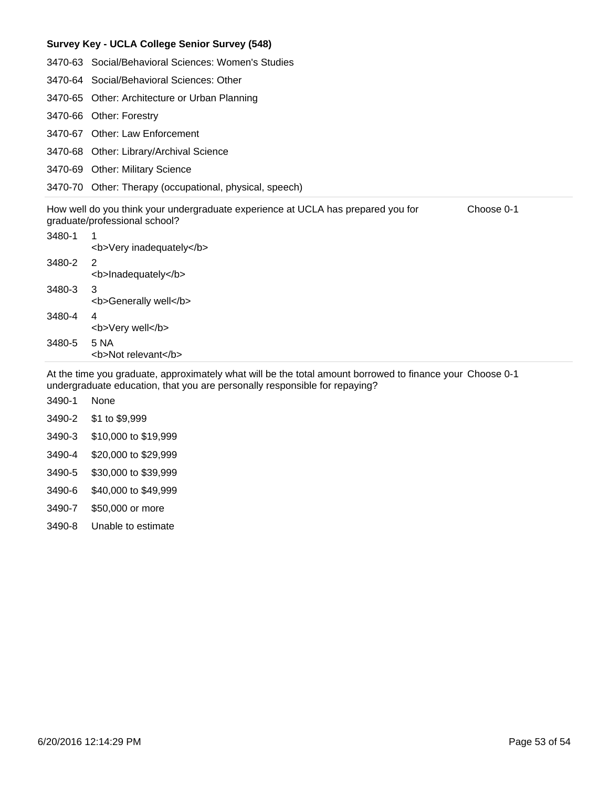- 3470-64 Social/Behavioral Sciences: Other
- 3470-65 Other: Architecture or Urban Planning
- 3470-66 Other: Forestry
- 3470-67 Other: Law Enforcement
- 3470-68 Other: Library/Archival Science
- 3470-69 Other: Military Science
- 3470-70 Other: Therapy (occupational, physical, speech)

| How well do you think your undergraduate experience at UCLA has prepared you for | Choose 0-1 |
|----------------------------------------------------------------------------------|------------|
| graduate/professional school?                                                    |            |

| 3480-1 | 1<br><b>Very inadequately</b> |
|--------|-------------------------------|
| 3480-2 | 2<br><b>Inadequately</b>      |
| 3480-3 | 3<br><b>Generally well</b>    |
| 3480-4 | 4<br><b>Very well</b>         |
| 3480-5 | 5 NA<br><b>Not relevant</b>   |
|        |                               |

At the time you graduate, approximately what will be the total amount borrowed to finance your Choose 0-1 undergraduate education, that you are personally responsible for repaying?

- 3490-1 None
- 3490-2 \$1 to \$9,999
- 3490-3 \$10,000 to \$19,999
- 3490-4 \$20,000 to \$29,999
- 3490-5 \$30,000 to \$39,999
- 3490-6 \$40,000 to \$49,999
- 3490-7 \$50,000 or more
- 3490-8 Unable to estimate